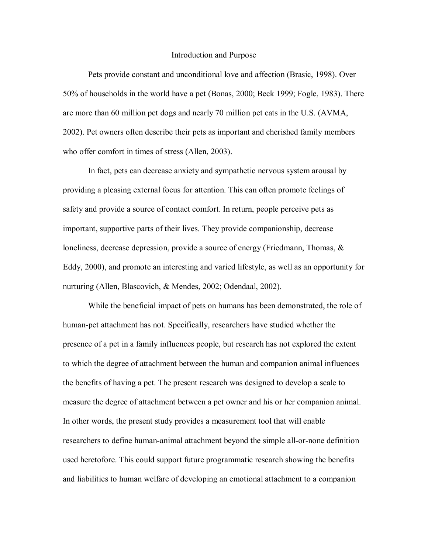#### Introduction and Purpose

Pets provide constant and unconditional love and affection (Brasic, 1998). Over 50% of households in the world have a pet (Bonas, 2000; Beck 1999; Fogle, 1983). There are more than 60 million pet dogs and nearly 70 million pet cats in the U.S. (AVMA, 2002). Pet owners often describe their pets as important and cherished family members who offer comfort in times of stress (Allen, 2003).

In fact, pets can decrease anxiety and sympathetic nervous system arousal by providing a pleasing external focus for attention. This can often promote feelings of safety and provide a source of contact comfort. In return, people perceive pets as important, supportive parts of their lives. They provide companionship, decrease loneliness, decrease depression, provide a source of energy (Friedmann, Thomas, & Eddy, 2000), and promote an interesting and varied lifestyle, as well as an opportunity for nurturing (Allen, Blascovich, & Mendes, 2002; Odendaal, 2002).

While the beneficial impact of pets on humans has been demonstrated, the role of human-pet attachment has not. Specifically, researchers have studied whether the presence of a pet in a family influences people, but research has not explored the extent to which the degree of attachment between the human and companion animal influences the benefits of having a pet. The present research was designed to develop a scale to measure the degree of attachment between a pet owner and his or her companion animal. In other words, the present study provides a measurement tool that will enable researchers to define human-animal attachment beyond the simple all-or-none definition used heretofore. This could support future programmatic research showing the benefits and liabilities to human welfare of developing an emotional attachment to a companion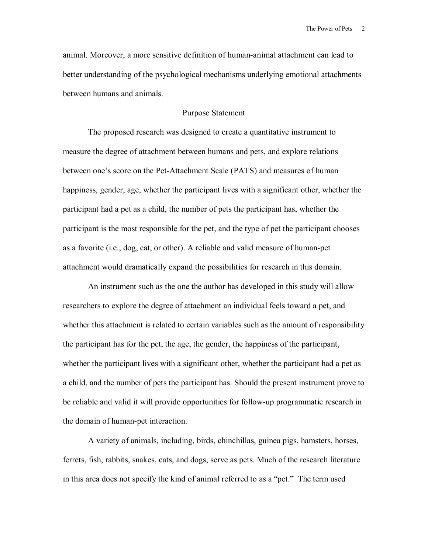animal. Moreover, a more sensitive definition of human-animal attachment can lead to better understanding of the psychological mechanisms underlying emotional attachments between humans and animals.

## Purpose Statement

 The proposed research was designed to create a quantitative instrument to measure the degree of attachment between humans and pets, and explore relations between one's score on the Pet-Attachment Scale (PATS) and measures of human happiness, gender, age, whether the participant lives with a significant other, whether the participant had a pet as a child, the number of pets the participant has, whether the participant is the most responsible for the pet, and the type of pet the participant chooses as a favorite (i.e., dog, cat, or other). A reliable and valid measure of human-pet attachment would dramatically expand the possibilities for research in this domain.

An instrument such as the one the author has developed in this study will allow researchers to explore the degree of attachment an individual feels toward a pet, and whether this attachment is related to certain variables such as the amount of responsibility the participant has for the pet, the age, the gender, the happiness of the participant, whether the participant lives with a significant other, whether the participant had a pet as a child, and the number of pets the participant has. Should the present instrument prove to be reliable and valid it will provide opportunities for follow-up programmatic research in the domain of human-pet interaction.

A variety of animals, including, birds, chinchillas, guinea pigs, hamsters, horses, ferrets, fish, rabbits, snakes, cats, and dogs, serve as pets. Much of the research literature in this area does not specify the kind of animal referred to as a "pet." The term used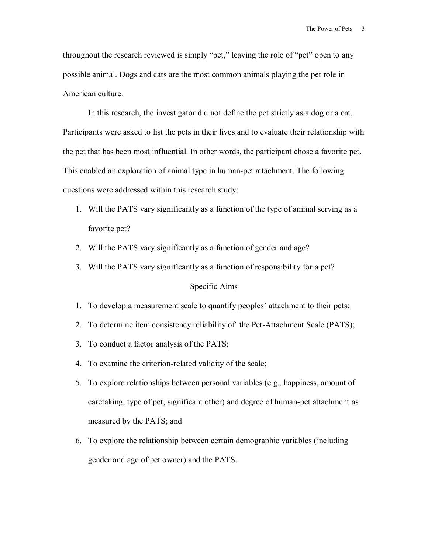throughout the research reviewed is simply "pet," leaving the role of "pet" open to any possible animal. Dogs and cats are the most common animals playing the pet role in American culture.

In this research, the investigator did not define the pet strictly as a dog or a cat. Participants were asked to list the pets in their lives and to evaluate their relationship with the pet that has been most influential. In other words, the participant chose a favorite pet. This enabled an exploration of animal type in human-pet attachment. The following questions were addressed within this research study:

- 1. Will the PATS vary significantly as a function of the type of animal serving as a favorite pet?
- 2. Will the PATS vary significantly as a function of gender and age?
- 3. Will the PATS vary significantly as a function of responsibility for a pet?

### Specific Aims

- 1. To develop a measurement scale to quantify peoplesí attachment to their pets;
- 2. To determine item consistency reliability of the Pet-Attachment Scale (PATS);
- 3. To conduct a factor analysis of the PATS;
- 4. To examine the criterion-related validity of the scale;
- 5. To explore relationships between personal variables (e.g., happiness, amount of caretaking, type of pet, significant other) and degree of human-pet attachment as measured by the PATS; and
- 6. To explore the relationship between certain demographic variables (including gender and age of pet owner) and the PATS.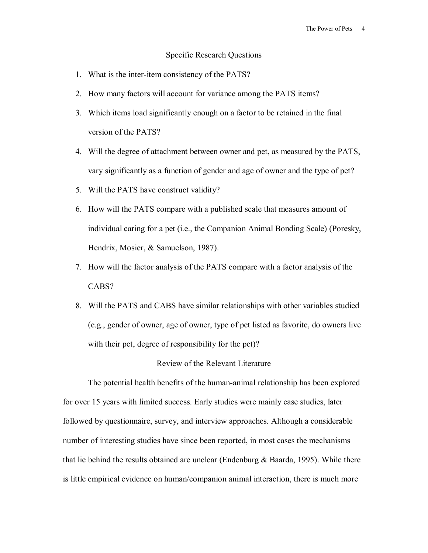#### Specific Research Questions

- 1. What is the inter-item consistency of the PATS?
- 2. How many factors will account for variance among the PATS items?
- 3. Which items load significantly enough on a factor to be retained in the final version of the PATS?
- 4. Will the degree of attachment between owner and pet, as measured by the PATS, vary significantly as a function of gender and age of owner and the type of pet?
- 5. Will the PATS have construct validity?
- 6. How will the PATS compare with a published scale that measures amount of individual caring for a pet (i.e., the Companion Animal Bonding Scale) (Poresky, Hendrix, Mosier, & Samuelson, 1987).
- 7. How will the factor analysis of the PATS compare with a factor analysis of the CABS?
- 8. Will the PATS and CABS have similar relationships with other variables studied (e.g., gender of owner, age of owner, type of pet listed as favorite, do owners live with their pet, degree of responsibility for the pet)?

#### Review of the Relevant Literature

The potential health benefits of the human-animal relationship has been explored for over 15 years with limited success. Early studies were mainly case studies, later followed by questionnaire, survey, and interview approaches. Although a considerable number of interesting studies have since been reported, in most cases the mechanisms that lie behind the results obtained are unclear (Endenburg & Baarda, 1995). While there is little empirical evidence on human/companion animal interaction, there is much more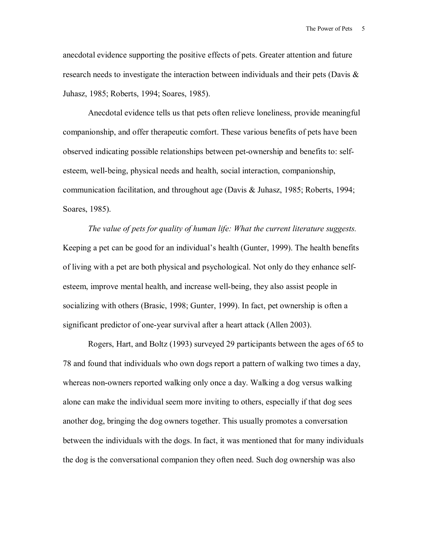anecdotal evidence supporting the positive effects of pets. Greater attention and future research needs to investigate the interaction between individuals and their pets (Davis  $\&$ Juhasz, 1985; Roberts, 1994; Soares, 1985).

Anecdotal evidence tells us that pets often relieve loneliness, provide meaningful companionship, and offer therapeutic comfort. These various benefits of pets have been observed indicating possible relationships between pet-ownership and benefits to: selfesteem, well-being, physical needs and health, social interaction, companionship, communication facilitation, and throughout age (Davis & Juhasz, 1985; Roberts, 1994; Soares, 1985).

*The value of pets for quality of human life: What the current literature suggests.*  Keeping a pet can be good for an individual's health (Gunter, 1999). The health benefits of living with a pet are both physical and psychological. Not only do they enhance selfesteem, improve mental health, and increase well-being, they also assist people in socializing with others (Brasic, 1998; Gunter, 1999). In fact, pet ownership is often a significant predictor of one-year survival after a heart attack (Allen 2003).

Rogers, Hart, and Boltz (1993) surveyed 29 participants between the ages of 65 to 78 and found that individuals who own dogs report a pattern of walking two times a day, whereas non-owners reported walking only once a day. Walking a dog versus walking alone can make the individual seem more inviting to others, especially if that dog sees another dog, bringing the dog owners together. This usually promotes a conversation between the individuals with the dogs. In fact, it was mentioned that for many individuals the dog is the conversational companion they often need. Such dog ownership was also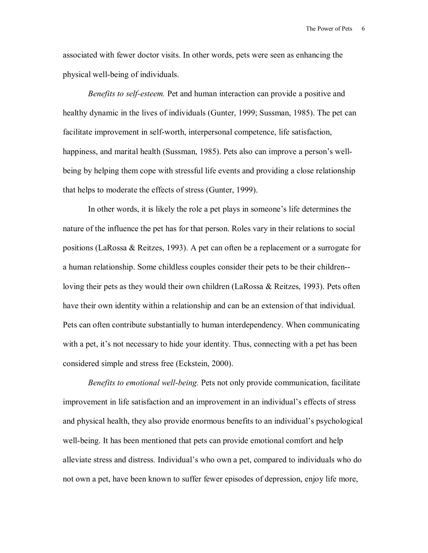associated with fewer doctor visits. In other words, pets were seen as enhancing the physical well-being of individuals.

*Benefits to self-esteem.* Pet and human interaction can provide a positive and healthy dynamic in the lives of individuals (Gunter, 1999; Sussman, 1985). The pet can facilitate improvement in self-worth, interpersonal competence, life satisfaction, happiness, and marital health (Sussman, 1985). Pets also can improve a person's wellbeing by helping them cope with stressful life events and providing a close relationship that helps to moderate the effects of stress (Gunter, 1999).

In other words, it is likely the role a pet plays in someone's life determines the nature of the influence the pet has for that person. Roles vary in their relations to social positions (LaRossa & Reitzes, 1993). A pet can often be a replacement or a surrogate for a human relationship. Some childless couples consider their pets to be their children- loving their pets as they would their own children (LaRossa & Reitzes, 1993). Pets often have their own identity within a relationship and can be an extension of that individual. Pets can often contribute substantially to human interdependency. When communicating with a pet, it's not necessary to hide your identity. Thus, connecting with a pet has been considered simple and stress free (Eckstein, 2000).

*Benefits to emotional well-being.* Pets not only provide communication, facilitate improvement in life satisfaction and an improvement in an individual's effects of stress and physical health, they also provide enormous benefits to an individual's psychological well-being. It has been mentioned that pets can provide emotional comfort and help alleviate stress and distress. Individual's who own a pet, compared to individuals who do not own a pet, have been known to suffer fewer episodes of depression, enjoy life more,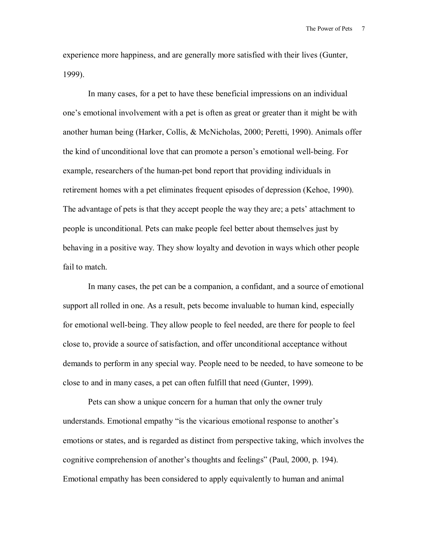experience more happiness, and are generally more satisfied with their lives (Gunter, 1999).

In many cases, for a pet to have these beneficial impressions on an individual one's emotional involvement with a pet is often as great or greater than it might be with another human being (Harker, Collis, & McNicholas, 2000; Peretti, 1990). Animals offer the kind of unconditional love that can promote a person's emotional well-being. For example, researchers of the human-pet bond report that providing individuals in retirement homes with a pet eliminates frequent episodes of depression (Kehoe, 1990). The advantage of pets is that they accept people the way they are; a pets' attachment to people is unconditional. Pets can make people feel better about themselves just by behaving in a positive way. They show loyalty and devotion in ways which other people fail to match.

In many cases, the pet can be a companion, a confidant, and a source of emotional support all rolled in one. As a result, pets become invaluable to human kind, especially for emotional well-being. They allow people to feel needed, are there for people to feel close to, provide a source of satisfaction, and offer unconditional acceptance without demands to perform in any special way. People need to be needed, to have someone to be close to and in many cases, a pet can often fulfill that need (Gunter, 1999).

Pets can show a unique concern for a human that only the owner truly understands. Emotional empathy "is the vicarious emotional response to another's emotions or states, and is regarded as distinct from perspective taking, which involves the cognitive comprehension of another's thoughts and feelings" (Paul, 2000, p. 194). Emotional empathy has been considered to apply equivalently to human and animal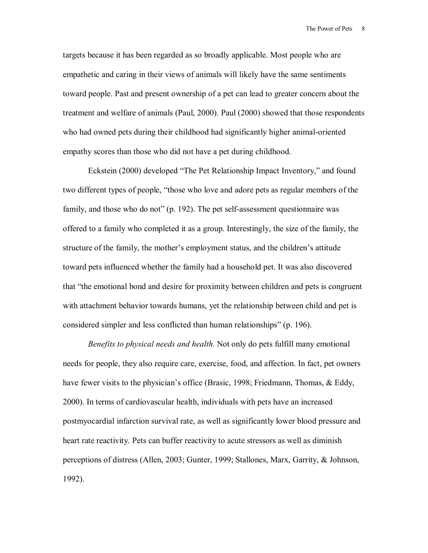targets because it has been regarded as so broadly applicable. Most people who are empathetic and caring in their views of animals will likely have the same sentiments toward people. Past and present ownership of a pet can lead to greater concern about the treatment and welfare of animals (Paul, 2000). Paul (2000) showed that those respondents who had owned pets during their childhood had significantly higher animal-oriented empathy scores than those who did not have a pet during childhood.

Eckstein (2000) developed "The Pet Relationship Impact Inventory," and found two different types of people, "those who love and adore pets as regular members of the family, and those who do not"  $(p. 192)$ . The pet self-assessment questionnaire was offered to a family who completed it as a group. Interestingly, the size of the family, the structure of the family, the mother's employment status, and the children's attitude toward pets influenced whether the family had a household pet. It was also discovered that "the emotional bond and desire for proximity between children and pets is congruent with attachment behavior towards humans, yet the relationship between child and pet is considered simpler and less conflicted than human relationships" (p. 196).

*Benefits to physical needs and health.* Not only do pets fulfill many emotional needs for people, they also require care, exercise, food, and affection. In fact, pet owners have fewer visits to the physician's office (Brasic, 1998; Friedmann, Thomas,  $\&$  Eddy, 2000). In terms of cardiovascular health, individuals with pets have an increased postmyocardial infarction survival rate, as well as significantly lower blood pressure and heart rate reactivity. Pets can buffer reactivity to acute stressors as well as diminish perceptions of distress (Allen, 2003; Gunter, 1999; Stallones, Marx, Garrity, & Johnson, 1992).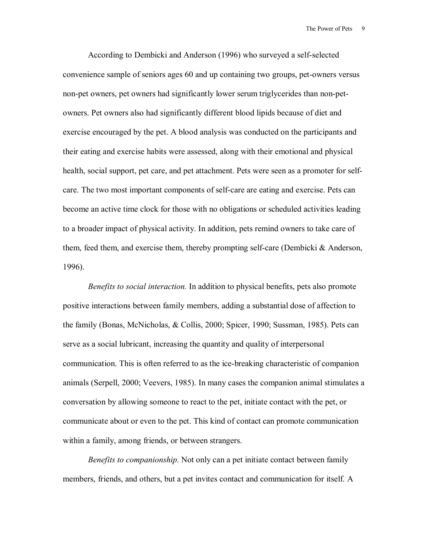According to Dembicki and Anderson (1996) who surveyed a self-selected convenience sample of seniors ages 60 and up containing two groups, pet-owners versus non-pet owners, pet owners had significantly lower serum triglycerides than non-petowners. Pet owners also had significantly different blood lipids because of diet and exercise encouraged by the pet. A blood analysis was conducted on the participants and their eating and exercise habits were assessed, along with their emotional and physical health, social support, pet care, and pet attachment. Pets were seen as a promoter for selfcare. The two most important components of self-care are eating and exercise. Pets can become an active time clock for those with no obligations or scheduled activities leading to a broader impact of physical activity. In addition, pets remind owners to take care of them, feed them, and exercise them, thereby prompting self-care (Dembicki & Anderson, 1996).

*Benefits to social interaction.* In addition to physical benefits, pets also promote positive interactions between family members, adding a substantial dose of affection to the family (Bonas, McNicholas, & Collis, 2000; Spicer, 1990; Sussman, 1985). Pets can serve as a social lubricant, increasing the quantity and quality of interpersonal communication. This is often referred to as the ice-breaking characteristic of companion animals (Serpell, 2000; Veevers, 1985). In many cases the companion animal stimulates a conversation by allowing someone to react to the pet, initiate contact with the pet, or communicate about or even to the pet. This kind of contact can promote communication within a family, among friends, or between strangers.

*Benefits to companionship.* Not only can a pet initiate contact between family members, friends, and others, but a pet invites contact and communication for itself. A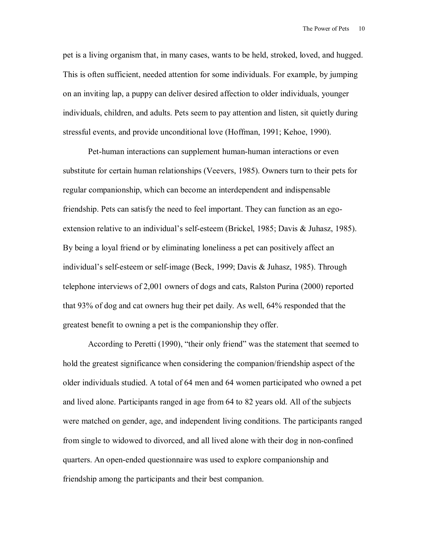pet is a living organism that, in many cases, wants to be held, stroked, loved, and hugged. This is often sufficient, needed attention for some individuals. For example, by jumping on an inviting lap, a puppy can deliver desired affection to older individuals, younger individuals, children, and adults. Pets seem to pay attention and listen, sit quietly during stressful events, and provide unconditional love (Hoffman, 1991; Kehoe, 1990).

Pet-human interactions can supplement human-human interactions or even substitute for certain human relationships (Veevers, 1985). Owners turn to their pets for regular companionship, which can become an interdependent and indispensable friendship. Pets can satisfy the need to feel important. They can function as an egoextension relative to an individual's self-esteem (Brickel, 1985; Davis & Juhasz, 1985). By being a loyal friend or by eliminating loneliness a pet can positively affect an individual's self-esteem or self-image (Beck, 1999; Davis & Juhasz, 1985). Through telephone interviews of 2,001 owners of dogs and cats, Ralston Purina (2000) reported that 93% of dog and cat owners hug their pet daily. As well, 64% responded that the greatest benefit to owning a pet is the companionship they offer.

According to Peretti (1990), "their only friend" was the statement that seemed to hold the greatest significance when considering the companion/friendship aspect of the older individuals studied. A total of 64 men and 64 women participated who owned a pet and lived alone. Participants ranged in age from 64 to 82 years old. All of the subjects were matched on gender, age, and independent living conditions. The participants ranged from single to widowed to divorced, and all lived alone with their dog in non-confined quarters. An open-ended questionnaire was used to explore companionship and friendship among the participants and their best companion.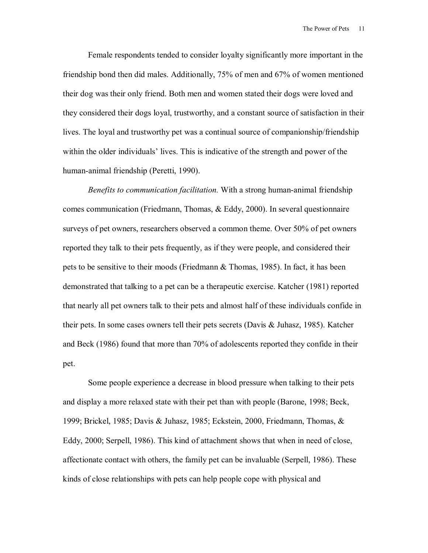Female respondents tended to consider loyalty significantly more important in the friendship bond then did males. Additionally, 75% of men and 67% of women mentioned their dog was their only friend. Both men and women stated their dogs were loved and they considered their dogs loyal, trustworthy, and a constant source of satisfaction in their lives. The loyal and trustworthy pet was a continual source of companionship/friendship within the older individuals' lives. This is indicative of the strength and power of the human-animal friendship (Peretti, 1990).

*Benefits to communication facilitation.* With a strong human-animal friendship comes communication (Friedmann, Thomas, & Eddy, 2000). In several questionnaire surveys of pet owners, researchers observed a common theme. Over 50% of pet owners reported they talk to their pets frequently, as if they were people, and considered their pets to be sensitive to their moods (Friedmann & Thomas, 1985). In fact, it has been demonstrated that talking to a pet can be a therapeutic exercise. Katcher (1981) reported that nearly all pet owners talk to their pets and almost half of these individuals confide in their pets. In some cases owners tell their pets secrets (Davis & Juhasz, 1985). Katcher and Beck (1986) found that more than 70% of adolescents reported they confide in their pet.

Some people experience a decrease in blood pressure when talking to their pets and display a more relaxed state with their pet than with people (Barone, 1998; Beck, 1999; Brickel, 1985; Davis & Juhasz, 1985; Eckstein, 2000, Friedmann, Thomas, & Eddy, 2000; Serpell, 1986). This kind of attachment shows that when in need of close, affectionate contact with others, the family pet can be invaluable (Serpell, 1986). These kinds of close relationships with pets can help people cope with physical and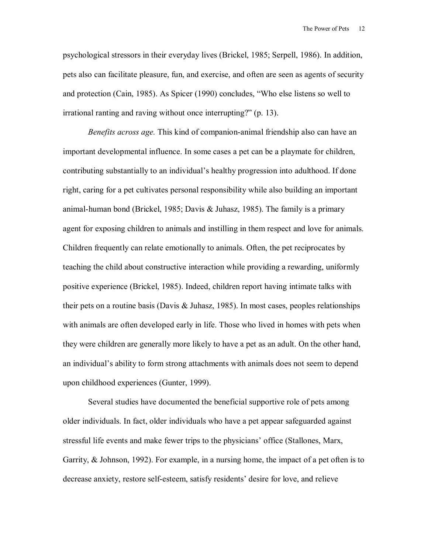psychological stressors in their everyday lives (Brickel, 1985; Serpell, 1986). In addition, pets also can facilitate pleasure, fun, and exercise, and often are seen as agents of security and protection (Cain, 1985). As Spicer  $(1990)$  concludes, "Who else listens so well to irrational ranting and raving without once interrupting?"  $(p. 13)$ .

*Benefits across age.* This kind of companion-animal friendship also can have an important developmental influence. In some cases a pet can be a playmate for children, contributing substantially to an individual's healthy progression into adulthood. If done right, caring for a pet cultivates personal responsibility while also building an important animal-human bond (Brickel, 1985; Davis & Juhasz, 1985). The family is a primary agent for exposing children to animals and instilling in them respect and love for animals. Children frequently can relate emotionally to animals. Often, the pet reciprocates by teaching the child about constructive interaction while providing a rewarding, uniformly positive experience (Brickel, 1985). Indeed, children report having intimate talks with their pets on a routine basis (Davis  $\&$  Juhasz, 1985). In most cases, peoples relationships with animals are often developed early in life. Those who lived in homes with pets when they were children are generally more likely to have a pet as an adult. On the other hand, an individual's ability to form strong attachments with animals does not seem to depend upon childhood experiences (Gunter, 1999).

Several studies have documented the beneficial supportive role of pets among older individuals. In fact, older individuals who have a pet appear safeguarded against stressful life events and make fewer trips to the physicians' office (Stallones, Marx, Garrity, & Johnson, 1992). For example, in a nursing home, the impact of a pet often is to decrease anxiety, restore self-esteem, satisfy residents' desire for love, and relieve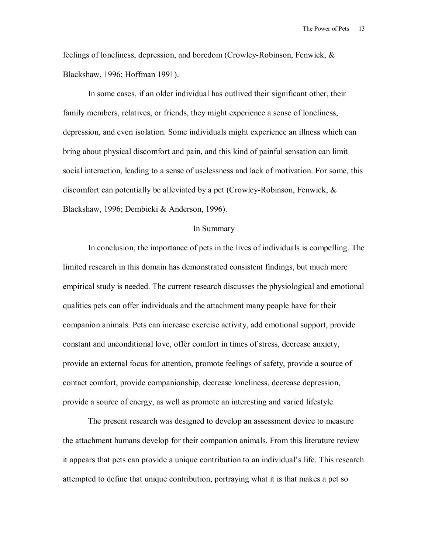feelings of loneliness, depression, and boredom (Crowley-Robinson, Fenwick, & Blackshaw, 1996; Hoffman 1991).

In some cases, if an older individual has outlived their significant other, their family members, relatives, or friends, they might experience a sense of loneliness, depression, and even isolation. Some individuals might experience an illness which can bring about physical discomfort and pain, and this kind of painful sensation can limit social interaction, leading to a sense of uselessness and lack of motivation. For some, this discomfort can potentially be alleviated by a pet (Crowley-Robinson, Fenwick, & Blackshaw, 1996; Dembicki & Anderson, 1996).

#### In Summary

In conclusion, the importance of pets in the lives of individuals is compelling. The limited research in this domain has demonstrated consistent findings, but much more empirical study is needed. The current research discusses the physiological and emotional qualities pets can offer individuals and the attachment many people have for their companion animals. Pets can increase exercise activity, add emotional support, provide constant and unconditional love, offer comfort in times of stress, decrease anxiety, provide an external focus for attention, promote feelings of safety, provide a source of contact comfort, provide companionship, decrease loneliness, decrease depression, provide a source of energy, as well as promote an interesting and varied lifestyle.

The present research was designed to develop an assessment device to measure the attachment humans develop for their companion animals. From this literature review it appears that pets can provide a unique contribution to an individual's life. This research attempted to define that unique contribution, portraying what it is that makes a pet so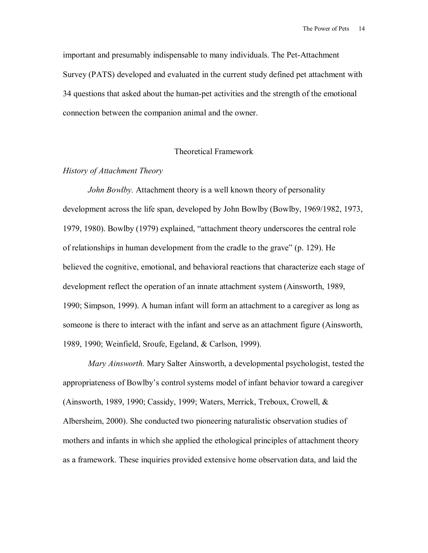important and presumably indispensable to many individuals. The Pet-Attachment Survey (PATS) developed and evaluated in the current study defined pet attachment with 34 questions that asked about the human-pet activities and the strength of the emotional connection between the companion animal and the owner.

#### Theoretical Framework

### *History of Attachment Theory*

*John Bowlby.* Attachment theory is a well known theory of personality development across the life span, developed by John Bowlby (Bowlby, 1969/1982, 1973, 1979, 1980). Bowlby (1979) explained, "attachment theory underscores the central role of relationships in human development from the cradle to the grave"  $(p. 129)$ . He believed the cognitive, emotional, and behavioral reactions that characterize each stage of development reflect the operation of an innate attachment system (Ainsworth, 1989, 1990; Simpson, 1999). A human infant will form an attachment to a caregiver as long as someone is there to interact with the infant and serve as an attachment figure (Ainsworth, 1989, 1990; Weinfield, Sroufe, Egeland, & Carlson, 1999).

*Mary Ainsworth.* Mary Salter Ainsworth, a developmental psychologist, tested the appropriateness of Bowlby's control systems model of infant behavior toward a caregiver (Ainsworth, 1989, 1990; Cassidy, 1999; Waters, Merrick, Treboux, Crowell, & Albersheim, 2000). She conducted two pioneering naturalistic observation studies of mothers and infants in which she applied the ethological principles of attachment theory as a framework. These inquiries provided extensive home observation data, and laid the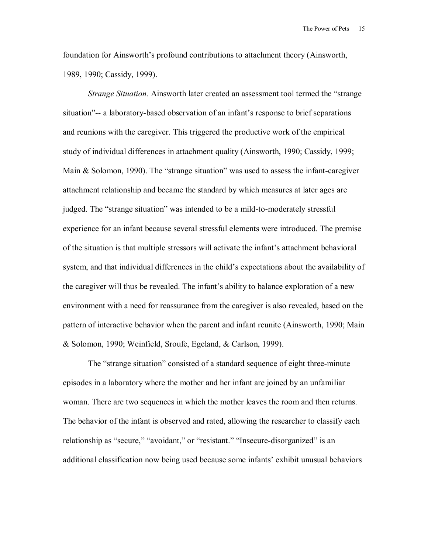foundation for Ainsworth's profound contributions to attachment theory (Ainsworth, 1989, 1990; Cassidy, 1999).

*Strange Situation.* Ainsworth later created an assessment tool termed the "strange" situation"-- a laboratory-based observation of an infant's response to brief separations and reunions with the caregiver. This triggered the productive work of the empirical study of individual differences in attachment quality (Ainsworth, 1990; Cassidy, 1999; Main  $&$  Solomon, 1990). The "strange situation" was used to assess the infant-caregiver attachment relationship and became the standard by which measures at later ages are judged. The "strange situation" was intended to be a mild-to-moderately stressful experience for an infant because several stressful elements were introduced. The premise of the situation is that multiple stressors will activate the infant's attachment behavioral system, and that individual differences in the child's expectations about the availability of the caregiver will thus be revealed. The infant's ability to balance exploration of a new environment with a need for reassurance from the caregiver is also revealed, based on the pattern of interactive behavior when the parent and infant reunite (Ainsworth, 1990; Main & Solomon, 1990; Weinfield, Sroufe, Egeland, & Carlson, 1999).

The "strange situation" consisted of a standard sequence of eight three-minute episodes in a laboratory where the mother and her infant are joined by an unfamiliar woman. There are two sequences in which the mother leaves the room and then returns. The behavior of the infant is observed and rated, allowing the researcher to classify each relationship as "secure," "avoidant," or "resistant." "Insecure-disorganized" is an additional classification now being used because some infants' exhibit unusual behaviors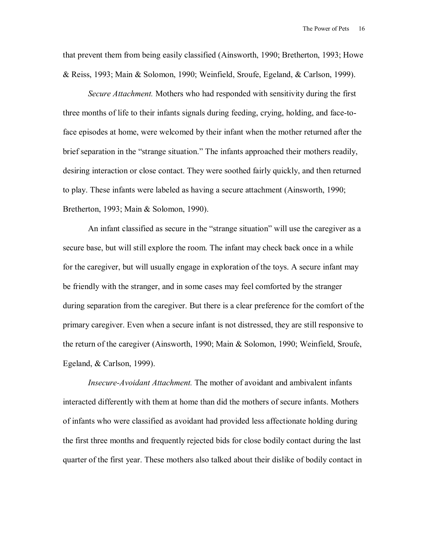that prevent them from being easily classified (Ainsworth, 1990; Bretherton, 1993; Howe & Reiss, 1993; Main & Solomon, 1990; Weinfield, Sroufe, Egeland, & Carlson, 1999).

*Secure Attachment.* Mothers who had responded with sensitivity during the first three months of life to their infants signals during feeding, crying, holding, and face-toface episodes at home, were welcomed by their infant when the mother returned after the brief separation in the "strange situation." The infants approached their mothers readily, desiring interaction or close contact. They were soothed fairly quickly, and then returned to play. These infants were labeled as having a secure attachment (Ainsworth, 1990; Bretherton, 1993; Main & Solomon, 1990).

An infant classified as secure in the "strange situation" will use the caregiver as a secure base, but will still explore the room. The infant may check back once in a while for the caregiver, but will usually engage in exploration of the toys. A secure infant may be friendly with the stranger, and in some cases may feel comforted by the stranger during separation from the caregiver. But there is a clear preference for the comfort of the primary caregiver. Even when a secure infant is not distressed, they are still responsive to the return of the caregiver (Ainsworth, 1990; Main & Solomon, 1990; Weinfield, Sroufe, Egeland, & Carlson, 1999).

*Insecure-Avoidant Attachment.* The mother of avoidant and ambivalent infants interacted differently with them at home than did the mothers of secure infants. Mothers of infants who were classified as avoidant had provided less affectionate holding during the first three months and frequently rejected bids for close bodily contact during the last quarter of the first year. These mothers also talked about their dislike of bodily contact in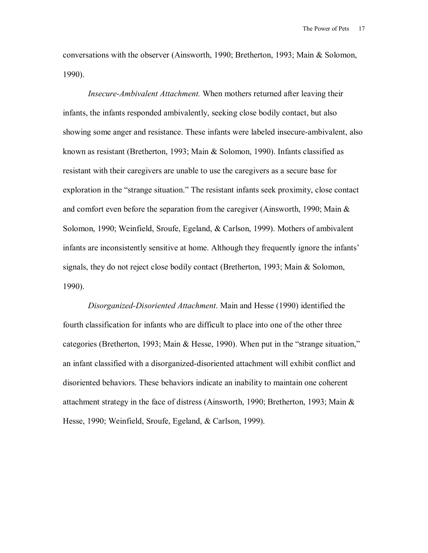conversations with the observer (Ainsworth, 1990; Bretherton, 1993; Main & Solomon, 1990).

*Insecure-Ambivalent Attachment.* When mothers returned after leaving their infants, the infants responded ambivalently, seeking close bodily contact, but also showing some anger and resistance. These infants were labeled insecure-ambivalent, also known as resistant (Bretherton, 1993; Main & Solomon, 1990). Infants classified as resistant with their caregivers are unable to use the caregivers as a secure base for exploration in the "strange situation." The resistant infants seek proximity, close contact and comfort even before the separation from the caregiver (Ainsworth, 1990; Main  $\&$ Solomon, 1990; Weinfield, Sroufe, Egeland, & Carlson, 1999). Mothers of ambivalent infants are inconsistently sensitive at home. Although they frequently ignore the infants' signals, they do not reject close bodily contact (Bretherton, 1993; Main & Solomon, 1990).

*Disorganized-Disoriented Attachment*. Main and Hesse (1990) identified the fourth classification for infants who are difficult to place into one of the other three categories (Bretherton, 1993; Main & Hesse, 1990). When put in the "strange situation," an infant classified with a disorganized-disoriented attachment will exhibit conflict and disoriented behaviors. These behaviors indicate an inability to maintain one coherent attachment strategy in the face of distress (Ainsworth, 1990; Bretherton, 1993; Main & Hesse, 1990; Weinfield, Sroufe, Egeland, & Carlson, 1999).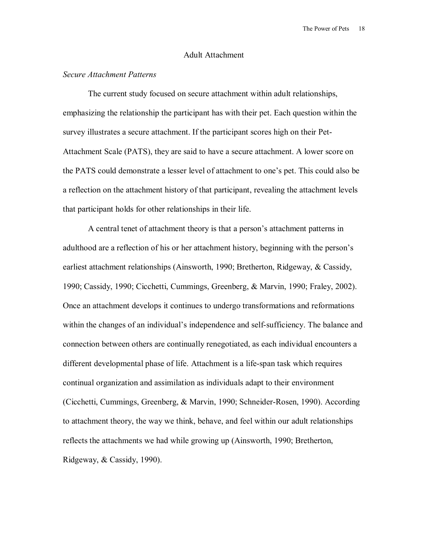#### Adult Attachment

#### *Secure Attachment Patterns*

The current study focused on secure attachment within adult relationships, emphasizing the relationship the participant has with their pet. Each question within the survey illustrates a secure attachment. If the participant scores high on their Pet-Attachment Scale (PATS), they are said to have a secure attachment. A lower score on the PATS could demonstrate a lesser level of attachment to one's pet. This could also be a reflection on the attachment history of that participant, revealing the attachment levels that participant holds for other relationships in their life.

A central tenet of attachment theory is that a person's attachment patterns in adulthood are a reflection of his or her attachment history, beginning with the person's earliest attachment relationships (Ainsworth, 1990; Bretherton, Ridgeway, & Cassidy, 1990; Cassidy, 1990; Cicchetti, Cummings, Greenberg, & Marvin, 1990; Fraley, 2002). Once an attachment develops it continues to undergo transformations and reformations within the changes of an individual's independence and self-sufficiency. The balance and connection between others are continually renegotiated, as each individual encounters a different developmental phase of life. Attachment is a life-span task which requires continual organization and assimilation as individuals adapt to their environment (Cicchetti, Cummings, Greenberg, & Marvin, 1990; Schneider-Rosen, 1990). According to attachment theory, the way we think, behave, and feel within our adult relationships reflects the attachments we had while growing up (Ainsworth, 1990; Bretherton, Ridgeway, & Cassidy, 1990).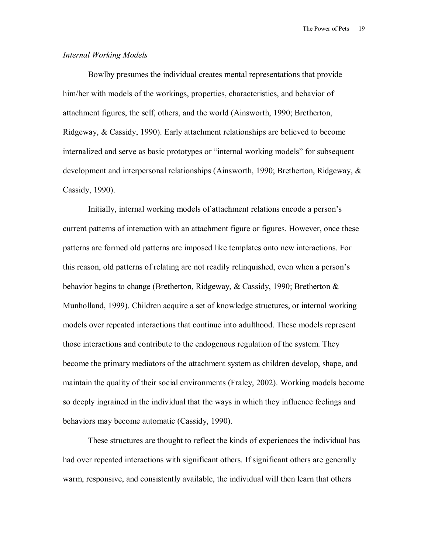### *Internal Working Models*

Bowlby presumes the individual creates mental representations that provide him/her with models of the workings, properties, characteristics, and behavior of attachment figures, the self, others, and the world (Ainsworth, 1990; Bretherton, Ridgeway, & Cassidy, 1990). Early attachment relationships are believed to become internalized and serve as basic prototypes or "internal working models" for subsequent development and interpersonal relationships (Ainsworth, 1990; Bretherton, Ridgeway, & Cassidy, 1990).

Initially, internal working models of attachment relations encode a person's current patterns of interaction with an attachment figure or figures. However, once these patterns are formed old patterns are imposed like templates onto new interactions. For this reason, old patterns of relating are not readily relinquished, even when a person's behavior begins to change (Bretherton, Ridgeway, & Cassidy, 1990; Bretherton & Munholland, 1999). Children acquire a set of knowledge structures, or internal working models over repeated interactions that continue into adulthood. These models represent those interactions and contribute to the endogenous regulation of the system. They become the primary mediators of the attachment system as children develop, shape, and maintain the quality of their social environments (Fraley, 2002). Working models become so deeply ingrained in the individual that the ways in which they influence feelings and behaviors may become automatic (Cassidy, 1990).

These structures are thought to reflect the kinds of experiences the individual has had over repeated interactions with significant others. If significant others are generally warm, responsive, and consistently available, the individual will then learn that others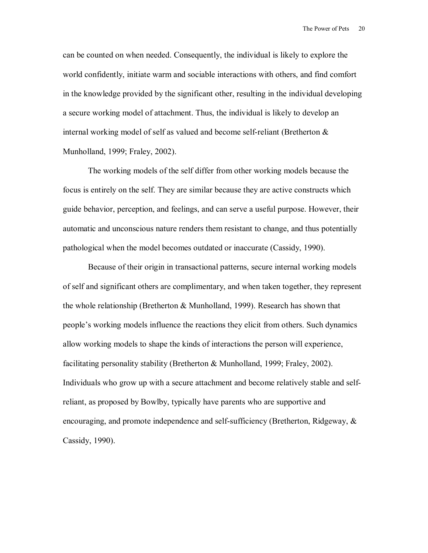can be counted on when needed. Consequently, the individual is likely to explore the world confidently, initiate warm and sociable interactions with others, and find comfort in the knowledge provided by the significant other, resulting in the individual developing a secure working model of attachment. Thus, the individual is likely to develop an internal working model of self as valued and become self-reliant (Bretherton & Munholland, 1999; Fraley, 2002).

The working models of the self differ from other working models because the focus is entirely on the self. They are similar because they are active constructs which guide behavior, perception, and feelings, and can serve a useful purpose. However, their automatic and unconscious nature renders them resistant to change, and thus potentially pathological when the model becomes outdated or inaccurate (Cassidy, 1990).

Because of their origin in transactional patterns, secure internal working models of self and significant others are complimentary, and when taken together, they represent the whole relationship (Bretherton  $\&$  Munholland, 1999). Research has shown that people's working models influence the reactions they elicit from others. Such dynamics allow working models to shape the kinds of interactions the person will experience, facilitating personality stability (Bretherton & Munholland, 1999; Fraley, 2002). Individuals who grow up with a secure attachment and become relatively stable and selfreliant, as proposed by Bowlby, typically have parents who are supportive and encouraging, and promote independence and self-sufficiency (Bretherton, Ridgeway, & Cassidy, 1990).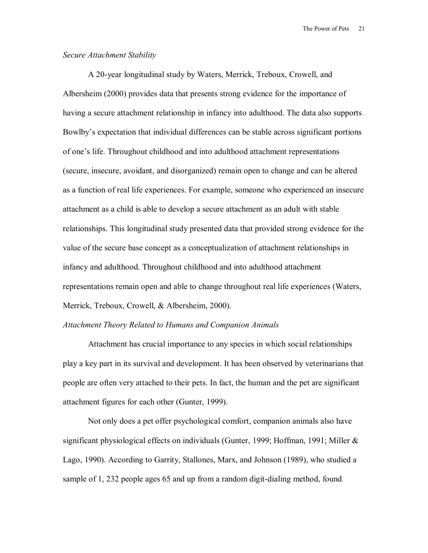## *Secure Attachment Stability*

A 20-year longitudinal study by Waters, Merrick, Treboux, Crowell, and Albersheim (2000) provides data that presents strong evidence for the importance of having a secure attachment relationship in infancy into adulthood. The data also supports Bowlby's expectation that individual differences can be stable across significant portions of one's life. Throughout childhood and into adulthood attachment representations (secure, insecure, avoidant, and disorganized) remain open to change and can be altered as a function of real life experiences. For example, someone who experienced an insecure attachment as a child is able to develop a secure attachment as an adult with stable relationships. This longitudinal study presented data that provided strong evidence for the value of the secure base concept as a conceptualization of attachment relationships in infancy and adulthood. Throughout childhood and into adulthood attachment representations remain open and able to change throughout real life experiences (Waters, Merrick, Treboux, Crowell, & Albersheim, 2000).

#### *Attachment Theory Related to Humans and Companion Animals*

Attachment has crucial importance to any species in which social relationships play a key part in its survival and development. It has been observed by veterinarians that people are often very attached to their pets. In fact, the human and the pet are significant attachment figures for each other (Gunter, 1999).

Not only does a pet offer psychological comfort, companion animals also have significant physiological effects on individuals (Gunter, 1999; Hoffman, 1991; Miller  $\&$ Lago, 1990). According to Garrity, Stallones, Marx, and Johnson (1989), who studied a sample of 1, 232 people ages 65 and up from a random digit-dialing method, found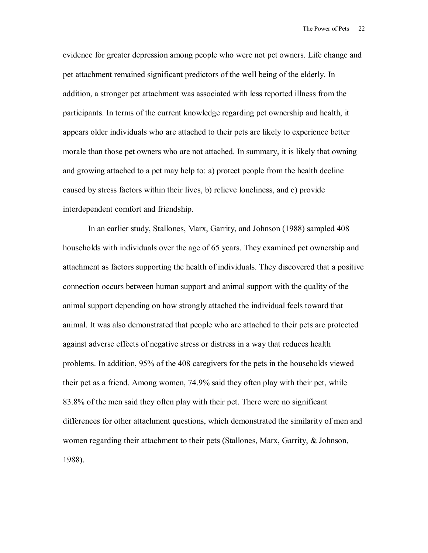evidence for greater depression among people who were not pet owners. Life change and pet attachment remained significant predictors of the well being of the elderly. In addition, a stronger pet attachment was associated with less reported illness from the participants. In terms of the current knowledge regarding pet ownership and health, it appears older individuals who are attached to their pets are likely to experience better morale than those pet owners who are not attached. In summary, it is likely that owning and growing attached to a pet may help to: a) protect people from the health decline caused by stress factors within their lives, b) relieve loneliness, and c) provide interdependent comfort and friendship.

In an earlier study, Stallones, Marx, Garrity, and Johnson (1988) sampled 408 households with individuals over the age of 65 years. They examined pet ownership and attachment as factors supporting the health of individuals. They discovered that a positive connection occurs between human support and animal support with the quality of the animal support depending on how strongly attached the individual feels toward that animal. It was also demonstrated that people who are attached to their pets are protected against adverse effects of negative stress or distress in a way that reduces health problems. In addition, 95% of the 408 caregivers for the pets in the households viewed their pet as a friend. Among women, 74.9% said they often play with their pet, while 83.8% of the men said they often play with their pet. There were no significant differences for other attachment questions, which demonstrated the similarity of men and women regarding their attachment to their pets (Stallones, Marx, Garrity, & Johnson, 1988).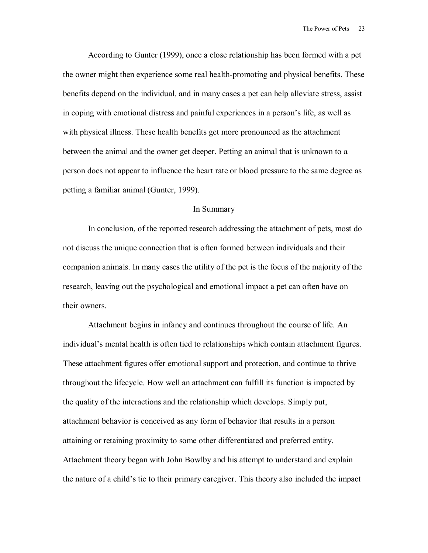According to Gunter (1999), once a close relationship has been formed with a pet the owner might then experience some real health-promoting and physical benefits. These benefits depend on the individual, and in many cases a pet can help alleviate stress, assist in coping with emotional distress and painful experiences in a person's life, as well as with physical illness. These health benefits get more pronounced as the attachment between the animal and the owner get deeper. Petting an animal that is unknown to a person does not appear to influence the heart rate or blood pressure to the same degree as petting a familiar animal (Gunter, 1999).

#### In Summary

In conclusion, of the reported research addressing the attachment of pets, most do not discuss the unique connection that is often formed between individuals and their companion animals. In many cases the utility of the pet is the focus of the majority of the research, leaving out the psychological and emotional impact a pet can often have on their owners.

Attachment begins in infancy and continues throughout the course of life. An individual's mental health is often tied to relationships which contain attachment figures. These attachment figures offer emotional support and protection, and continue to thrive throughout the lifecycle. How well an attachment can fulfill its function is impacted by the quality of the interactions and the relationship which develops. Simply put, attachment behavior is conceived as any form of behavior that results in a person attaining or retaining proximity to some other differentiated and preferred entity. Attachment theory began with John Bowlby and his attempt to understand and explain the nature of a child's tie to their primary caregiver. This theory also included the impact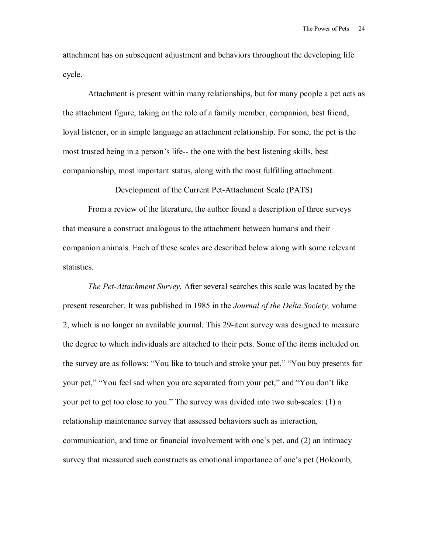attachment has on subsequent adjustment and behaviors throughout the developing life cycle.

Attachment is present within many relationships, but for many people a pet acts as the attachment figure, taking on the role of a family member, companion, best friend, loyal listener, or in simple language an attachment relationship. For some, the pet is the most trusted being in a person's life-- the one with the best listening skills, best companionship, most important status, along with the most fulfilling attachment.

Development of the Current Pet-Attachment Scale (PATS)

 From a review of the literature, the author found a description of three surveys that measure a construct analogous to the attachment between humans and their companion animals. Each of these scales are described below along with some relevant statistics.

*The Pet-Attachment Survey.* After several searches this scale was located by the present researcher. It was published in 1985 in the *Journal of the Delta Society,* volume 2, which is no longer an available journal. This 29-item survey was designed to measure the degree to which individuals are attached to their pets. Some of the items included on the survey are as follows: "You like to touch and stroke your pet," "You buy presents for your pet," "You feel sad when you are separated from your pet," and "You don't like your pet to get too close to you." The survey was divided into two sub-scales: (1) a relationship maintenance survey that assessed behaviors such as interaction, communication, and time or financial involvement with one's pet, and  $(2)$  an intimacy survey that measured such constructs as emotional importance of one's pet (Holcomb,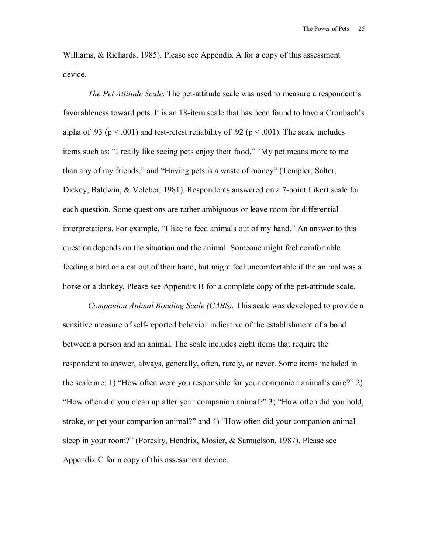Williams, & Richards, 1985). Please see Appendix A for a copy of this assessment device.

*The Pet Attitude Scale.* The pet-attitude scale was used to measure a respondent's favorableness toward pets. It is an 18-item scale that has been found to have a Cronbach's alpha of .93 ( $p < .001$ ) and test-retest reliability of .92 ( $p < .001$ ). The scale includes items such as: "I really like seeing pets enjoy their food," "My pet means more to me than any of my friends," and "Having pets is a waste of money" (Templer, Salter, Dickey, Baldwin, & Veleber, 1981). Respondents answered on a 7-point Likert scale for each question. Some questions are rather ambiguous or leave room for differential interpretations. For example, "I like to feed animals out of my hand." An answer to this question depends on the situation and the animal. Someone might feel comfortable feeding a bird or a cat out of their hand, but might feel uncomfortable if the animal was a horse or a donkey. Please see Appendix B for a complete copy of the pet-attitude scale.

 *Companion Animal Bonding Scale (CABS).* This scale was developed to provide a sensitive measure of self-reported behavior indicative of the establishment of a bond between a person and an animal. The scale includes eight items that require the respondent to answer, always, generally, often, rarely, or never. Some items included in the scale are: 1) "How often were you responsible for your companion animal's care?" 2) *How often did you clean up after your companion animal?*? 3) *How often did you hold,* stroke, or pet your companion animal?" and 4) "How often did your companion animal sleep in your room?" (Poresky, Hendrix, Mosier, & Samuelson, 1987). Please see Appendix C for a copy of this assessment device.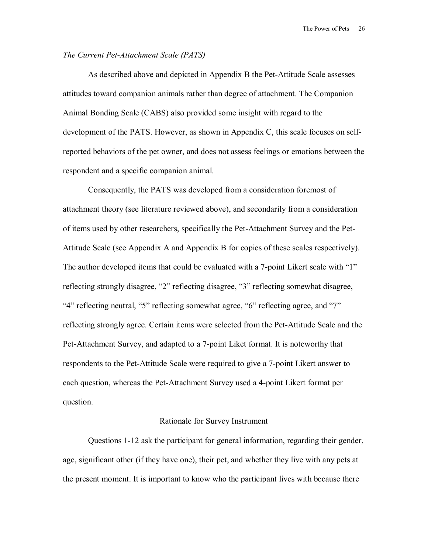#### *The Current Pet-Attachment Scale (PATS)*

As described above and depicted in Appendix B the Pet-Attitude Scale assesses attitudes toward companion animals rather than degree of attachment. The Companion Animal Bonding Scale (CABS) also provided some insight with regard to the development of the PATS. However, as shown in Appendix C, this scale focuses on selfreported behaviors of the pet owner, and does not assess feelings or emotions between the respondent and a specific companion animal.

Consequently, the PATS was developed from a consideration foremost of attachment theory (see literature reviewed above), and secondarily from a consideration of items used by other researchers, specifically the Pet-Attachment Survey and the Pet-Attitude Scale (see Appendix A and Appendix B for copies of these scales respectively). The author developed items that could be evaluated with a 7-point Likert scale with "1" reflecting strongly disagree, "2" reflecting disagree, "3" reflecting somewhat disagree, "4" reflecting neutral, "5" reflecting somewhat agree, "6" reflecting agree, and "7" reflecting strongly agree. Certain items were selected from the Pet-Attitude Scale and the Pet-Attachment Survey, and adapted to a 7-point Liket format. It is noteworthy that respondents to the Pet-Attitude Scale were required to give a 7-point Likert answer to each question, whereas the Pet-Attachment Survey used a 4-point Likert format per question.

#### Rationale for Survey Instrument

 Questions 1-12 ask the participant for general information, regarding their gender, age, significant other (if they have one), their pet, and whether they live with any pets at the present moment. It is important to know who the participant lives with because there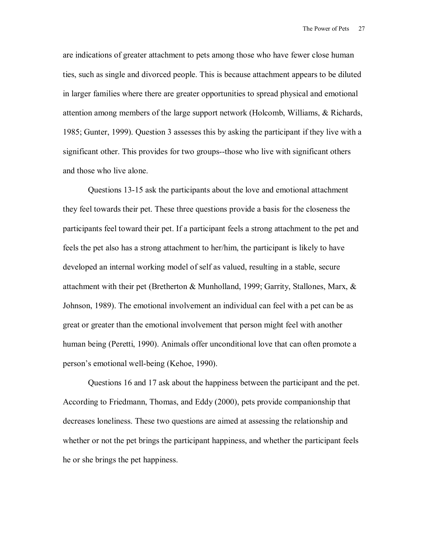are indications of greater attachment to pets among those who have fewer close human ties, such as single and divorced people. This is because attachment appears to be diluted in larger families where there are greater opportunities to spread physical and emotional attention among members of the large support network (Holcomb, Williams, & Richards, 1985; Gunter, 1999). Question 3 assesses this by asking the participant if they live with a significant other. This provides for two groups--those who live with significant others and those who live alone.

Questions 13-15 ask the participants about the love and emotional attachment they feel towards their pet. These three questions provide a basis for the closeness the participants feel toward their pet. If a participant feels a strong attachment to the pet and feels the pet also has a strong attachment to her/him, the participant is likely to have developed an internal working model of self as valued, resulting in a stable, secure attachment with their pet (Bretherton & Munholland, 1999; Garrity, Stallones, Marx, & Johnson, 1989). The emotional involvement an individual can feel with a pet can be as great or greater than the emotional involvement that person might feel with another human being (Peretti, 1990). Animals offer unconditional love that can often promote a person's emotional well-being (Kehoe, 1990).

Questions 16 and 17 ask about the happiness between the participant and the pet. According to Friedmann, Thomas, and Eddy (2000), pets provide companionship that decreases loneliness. These two questions are aimed at assessing the relationship and whether or not the pet brings the participant happiness, and whether the participant feels he or she brings the pet happiness.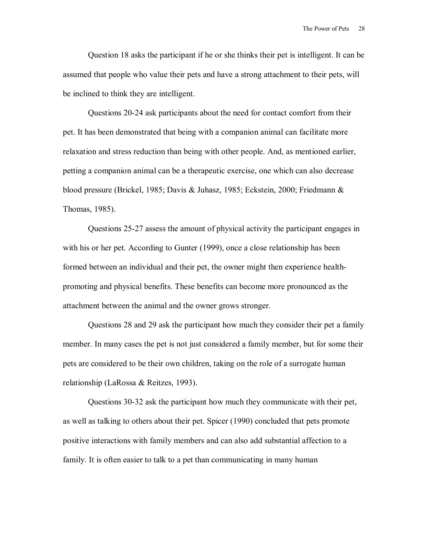Question 18 asks the participant if he or she thinks their pet is intelligent. It can be assumed that people who value their pets and have a strong attachment to their pets, will be inclined to think they are intelligent.

Questions 20-24 ask participants about the need for contact comfort from their pet. It has been demonstrated that being with a companion animal can facilitate more relaxation and stress reduction than being with other people. And, as mentioned earlier, petting a companion animal can be a therapeutic exercise, one which can also decrease blood pressure (Brickel, 1985; Davis & Juhasz, 1985; Eckstein, 2000; Friedmann & Thomas, 1985).

Questions 25-27 assess the amount of physical activity the participant engages in with his or her pet. According to Gunter (1999), once a close relationship has been formed between an individual and their pet, the owner might then experience healthpromoting and physical benefits. These benefits can become more pronounced as the attachment between the animal and the owner grows stronger.

Questions 28 and 29 ask the participant how much they consider their pet a family member. In many cases the pet is not just considered a family member, but for some their pets are considered to be their own children, taking on the role of a surrogate human relationship (LaRossa & Reitzes, 1993).

Questions 30-32 ask the participant how much they communicate with their pet, as well as talking to others about their pet. Spicer (1990) concluded that pets promote positive interactions with family members and can also add substantial affection to a family. It is often easier to talk to a pet than communicating in many human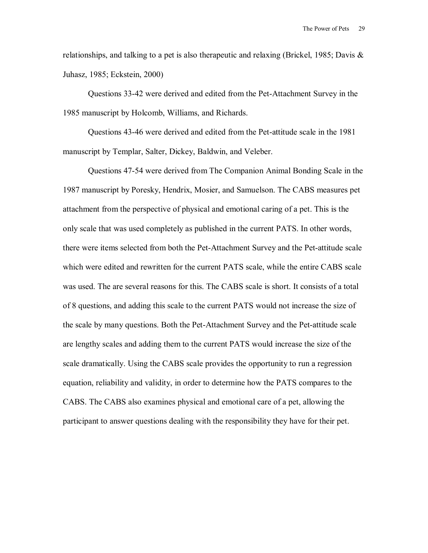relationships, and talking to a pet is also therapeutic and relaxing (Brickel, 1985; Davis  $\&$ Juhasz, 1985; Eckstein, 2000)

Questions 33-42 were derived and edited from the Pet-Attachment Survey in the 1985 manuscript by Holcomb, Williams, and Richards.

Questions 43-46 were derived and edited from the Pet-attitude scale in the 1981 manuscript by Templar, Salter, Dickey, Baldwin, and Veleber.

Questions 47-54 were derived from The Companion Animal Bonding Scale in the 1987 manuscript by Poresky, Hendrix, Mosier, and Samuelson. The CABS measures pet attachment from the perspective of physical and emotional caring of a pet. This is the only scale that was used completely as published in the current PATS. In other words, there were items selected from both the Pet-Attachment Survey and the Pet-attitude scale which were edited and rewritten for the current PATS scale, while the entire CABS scale was used. The are several reasons for this. The CABS scale is short. It consists of a total of 8 questions, and adding this scale to the current PATS would not increase the size of the scale by many questions. Both the Pet-Attachment Survey and the Pet-attitude scale are lengthy scales and adding them to the current PATS would increase the size of the scale dramatically. Using the CABS scale provides the opportunity to run a regression equation, reliability and validity, in order to determine how the PATS compares to the CABS. The CABS also examines physical and emotional care of a pet, allowing the participant to answer questions dealing with the responsibility they have for their pet.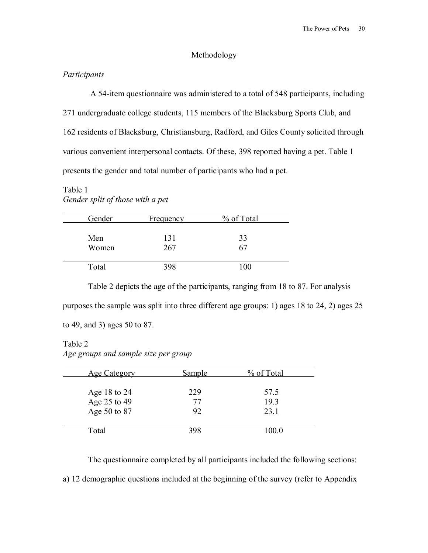### Methodology

## *Participants*

A 54-item questionnaire was administered to a total of 548 participants, including 271 undergraduate college students, 115 members of the Blacksburg Sports Club, and 162 residents of Blacksburg, Christiansburg, Radford, and Giles County solicited through various convenient interpersonal contacts. Of these, 398 reported having a pet. Table 1 presents the gender and total number of participants who had a pet.

# Table 1 *Gender split of those with a pet*

| Gender | Frequency | % of Total |
|--------|-----------|------------|
| Men    | 131       | 33         |
| Women  | 267       | 67         |
| Total  | 398       | 100        |

Table 2 depicts the age of the participants, ranging from 18 to 87. For analysis purposes the sample was split into three different age groups: 1) ages 18 to 24, 2) ages 25 to 49, and 3) ages 50 to 87.

## Table 2

*Age groups and sample size per group* 

| <b>Age Category</b> | Sample | % of Total |
|---------------------|--------|------------|
| Age 18 to 24        | 229    | 57.5       |
| Age 25 to 49        | 77     | 19.3       |
| Age 50 to 87        | 92     | 23.1       |
| Total               | 398    | 100.0      |

The questionnaire completed by all participants included the following sections:

a) 12 demographic questions included at the beginning of the survey (refer to Appendix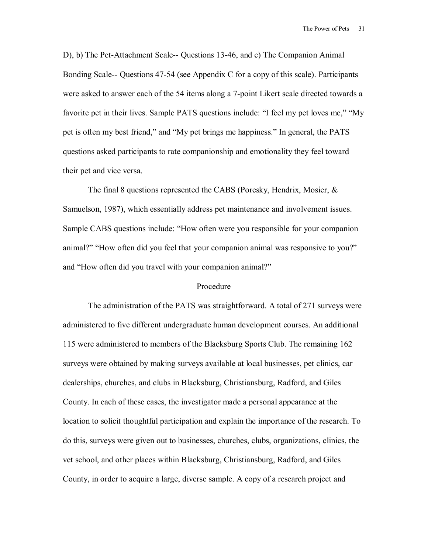D), b) The Pet-Attachment Scale-- Questions 13-46, and c) The Companion Animal Bonding Scale-- Questions 47-54 (see Appendix C for a copy of this scale). Participants were asked to answer each of the 54 items along a 7-point Likert scale directed towards a favorite pet in their lives. Sample PATS questions include: "I feel my pet loves me," "My pet is often my best friend," and "My pet brings me happiness." In general, the PATS questions asked participants to rate companionship and emotionality they feel toward their pet and vice versa.

The final 8 questions represented the CABS (Poresky, Hendrix, Mosier, & Samuelson, 1987), which essentially address pet maintenance and involvement issues. Sample CABS questions include: "How often were you responsible for your companion animal?" "How often did you feel that your companion animal was responsive to you?" and "How often did you travel with your companion animal?"

#### Procedure

The administration of the PATS was straightforward. A total of 271 surveys were administered to five different undergraduate human development courses. An additional 115 were administered to members of the Blacksburg Sports Club. The remaining 162 surveys were obtained by making surveys available at local businesses, pet clinics, car dealerships, churches, and clubs in Blacksburg, Christiansburg, Radford, and Giles County. In each of these cases, the investigator made a personal appearance at the location to solicit thoughtful participation and explain the importance of the research. To do this, surveys were given out to businesses, churches, clubs, organizations, clinics, the vet school, and other places within Blacksburg, Christiansburg, Radford, and Giles County, in order to acquire a large, diverse sample. A copy of a research project and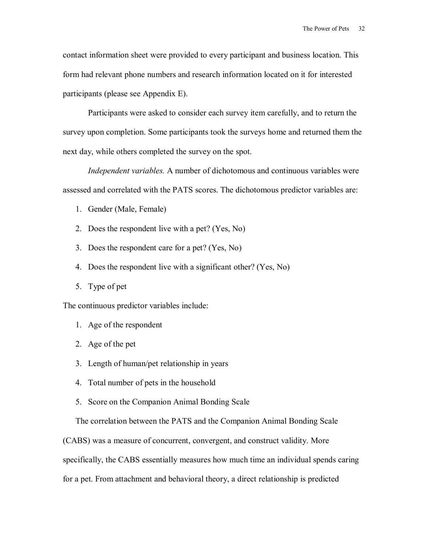contact information sheet were provided to every participant and business location. This form had relevant phone numbers and research information located on it for interested participants (please see Appendix E).

Participants were asked to consider each survey item carefully, and to return the survey upon completion. Some participants took the surveys home and returned them the next day, while others completed the survey on the spot.

*Independent variables.* A number of dichotomous and continuous variables were assessed and correlated with the PATS scores. The dichotomous predictor variables are:

- 1. Gender (Male, Female)
- 2. Does the respondent live with a pet? (Yes, No)
- 3. Does the respondent care for a pet? (Yes, No)
- 4. Does the respondent live with a significant other? (Yes, No)
- 5. Type of pet

The continuous predictor variables include:

- 1. Age of the respondent
- 2. Age of the pet
- 3. Length of human/pet relationship in years
- 4. Total number of pets in the household
- 5. Score on the Companion Animal Bonding Scale

The correlation between the PATS and the Companion Animal Bonding Scale

(CABS) was a measure of concurrent, convergent, and construct validity. More

specifically, the CABS essentially measures how much time an individual spends caring

for a pet. From attachment and behavioral theory, a direct relationship is predicted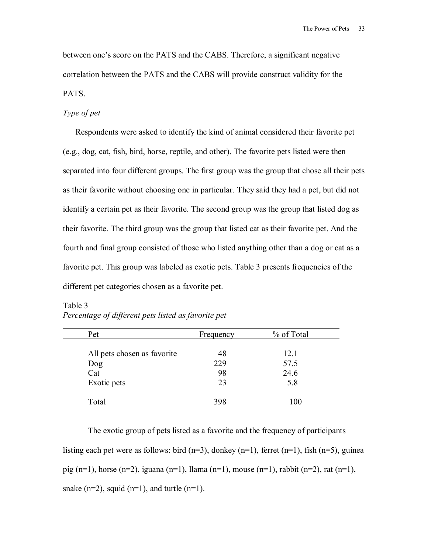between one's score on the PATS and the CABS. Therefore, a significant negative correlation between the PATS and the CABS will provide construct validity for the PATS.

## *Type of pet*

Respondents were asked to identify the kind of animal considered their favorite pet (e.g., dog, cat, fish, bird, horse, reptile, and other). The favorite pets listed were then separated into four different groups. The first group was the group that chose all their pets as their favorite without choosing one in particular. They said they had a pet, but did not identify a certain pet as their favorite. The second group was the group that listed dog as their favorite. The third group was the group that listed cat as their favorite pet. And the fourth and final group consisted of those who listed anything other than a dog or cat as a favorite pet. This group was labeled as exotic pets. Table 3 presents frequencies of the different pet categories chosen as a favorite pet.

| Pet                         | <b>Frequency</b> | % of Total |
|-----------------------------|------------------|------------|
| All pets chosen as favorite | 48               | 12.1       |
| Dog                         | 229              | 57.5       |
| Cat                         | 98               | 24.6       |
| Exotic pets                 | 23               | 5.8        |
| Total                       | 398              | 100        |

# Table 3 *Percentage of different pets listed as favorite pet*

 The exotic group of pets listed as a favorite and the frequency of participants listing each pet were as follows: bird  $(n=3)$ , donkey  $(n=1)$ , ferret  $(n=1)$ , fish  $(n=5)$ , guinea pig (n=1), horse (n=2), iguana (n=1), llama (n=1), mouse (n=1), rabbit (n=2), rat (n=1), snake  $(n=2)$ , squid  $(n=1)$ , and turtle  $(n=1)$ .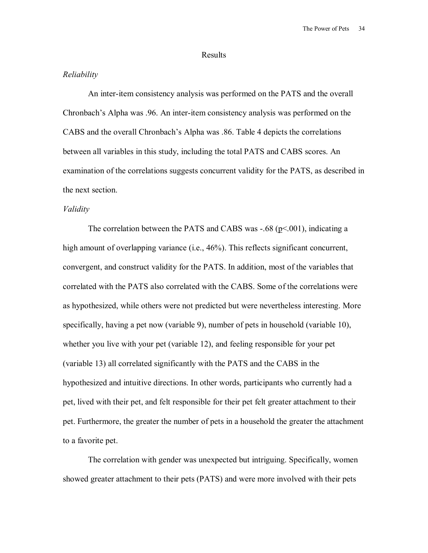#### Results

#### *Reliability*

An inter-item consistency analysis was performed on the PATS and the overall Chronbach's Alpha was .96. An inter-item consistency analysis was performed on the CABS and the overall Chronbach's Alpha was .86. Table 4 depicts the correlations between all variables in this study, including the total PATS and CABS scores. An examination of the correlations suggests concurrent validity for the PATS, as described in the next section.

#### *Validity*

The correlation between the PATS and CABS was  $-.68$  (p $\leq 0.001$ ), indicating a high amount of overlapping variance (i.e., 46%). This reflects significant concurrent, convergent, and construct validity for the PATS. In addition, most of the variables that correlated with the PATS also correlated with the CABS. Some of the correlations were as hypothesized, while others were not predicted but were nevertheless interesting. More specifically, having a pet now (variable 9), number of pets in household (variable 10), whether you live with your pet (variable 12), and feeling responsible for your pet (variable 13) all correlated significantly with the PATS and the CABS in the hypothesized and intuitive directions. In other words, participants who currently had a pet, lived with their pet, and felt responsible for their pet felt greater attachment to their pet. Furthermore, the greater the number of pets in a household the greater the attachment to a favorite pet.

The correlation with gender was unexpected but intriguing. Specifically, women showed greater attachment to their pets (PATS) and were more involved with their pets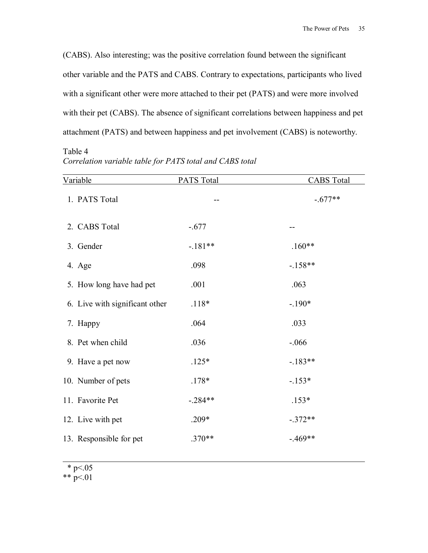(CABS). Also interesting; was the positive correlation found between the significant other variable and the PATS and CABS. Contrary to expectations, participants who lived with a significant other were more attached to their pet (PATS) and were more involved with their pet (CABS). The absence of significant correlations between happiness and pet attachment (PATS) and between happiness and pet involvement (CABS) is noteworthy.

Table 4 *Correlation variable table for PATS total and CABS total*

| Variable                       | <b>PATS Total</b> | <b>CABS</b> Total |
|--------------------------------|-------------------|-------------------|
| 1. PATS Total                  |                   | $-.677**$         |
| 2. CABS Total                  | $-.677$           |                   |
| 3. Gender                      | $-.181**$         | $.160**$          |
| 4. Age                         | .098              | $-158**$          |
| 5. How long have had pet       | .001              | .063              |
| 6. Live with significant other | $.118*$           | $-.190*$          |
| 7. Happy                       | .064              | .033              |
| 8. Pet when child              | .036              | $-0.066$          |
| 9. Have a pet now              | $.125*$           | $-.183**$         |
| 10. Number of pets             | $.178*$           | $-153*$           |
| 11. Favorite Pet               | $-.284**$         | $.153*$           |
| 12. Live with pet              | .209*             | $-.372**$         |
| 13. Responsible for pet        | $.370**$          | $-.469**$         |
|                                |                   |                   |

\* p $< 05$ 

 $\overline{a}$ 

\*\*  $p < 01$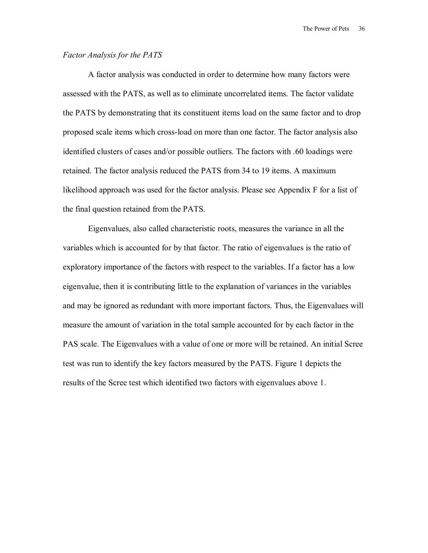#### *Factor Analysis for the PATS*

A factor analysis was conducted in order to determine how many factors were assessed with the PATS, as well as to eliminate uncorrelated items. The factor validate the PATS by demonstrating that its constituent items load on the same factor and to drop proposed scale items which cross-load on more than one factor. The factor analysis also identified clusters of cases and/or possible outliers. The factors with .60 loadings were retained. The factor analysis reduced the PATS from 34 to 19 items. A maximum likelihood approach was used for the factor analysis. Please see Appendix F for a list of the final question retained from the PATS.

Eigenvalues, also called characteristic roots, measures the variance in all the variables which is accounted for by that factor. The ratio of eigenvalues is the ratio of exploratory importance of the factors with respect to the variables. If a factor has a low eigenvalue, then it is contributing little to the explanation of variances in the variables and may be ignored as redundant with more important factors. Thus, the Eigenvalues will measure the amount of variation in the total sample accounted for by each factor in the PAS scale. The Eigenvalues with a value of one or more will be retained. An initial Scree test was run to identify the key factors measured by the PATS. Figure 1 depicts the results of the Scree test which identified two factors with eigenvalues above 1.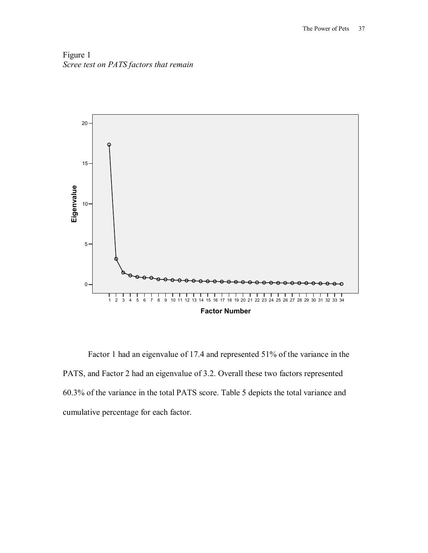Figure 1 *Scree test on PATS factors that remain* 



Factor 1 had an eigenvalue of 17.4 and represented 51% of the variance in the PATS, and Factor 2 had an eigenvalue of 3.2. Overall these two factors represented 60.3% of the variance in the total PATS score. Table 5 depicts the total variance and cumulative percentage for each factor.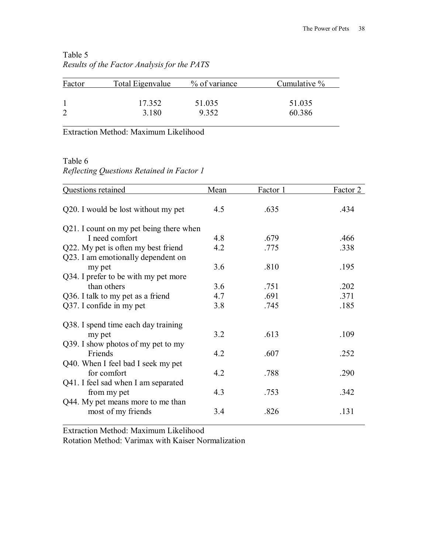| Factor | Total Eigenvalue | % of variance | Cumulative % |
|--------|------------------|---------------|--------------|
|        | 17.352           | 51.035        | 51.035       |
|        |                  |               |              |
|        | 3.180            | 9.352         | 60.386       |

# Table 5 *Results of the Factor Analysis for the PATS*

Extraction Method: Maximum Likelihood

Table 6

*Reflecting Questions Retained in Factor 1* 

| Questions retained                      | Mean | Factor 1 | Factor 2 |
|-----------------------------------------|------|----------|----------|
| Q20. I would be lost without my pet     | 4.5  | .635     | .434     |
| Q21. I count on my pet being there when |      |          |          |
| I need comfort                          | 4.8  | .679     | .466     |
| Q22. My pet is often my best friend     | 4.2  | .775     | .338     |
| Q23. I am emotionally dependent on      |      |          |          |
| my pet                                  | 3.6  | .810     | .195     |
| Q34. I prefer to be with my pet more    |      |          |          |
| than others                             | 3.6  | .751     | .202     |
| Q36. I talk to my pet as a friend       | 4.7  | .691     | .371     |
| Q37. I confide in my pet                | 3.8  | .745     | .185     |
| Q38. I spend time each day training     |      |          |          |
| my pet                                  | 3.2  | .613     | .109     |
| Q39. I show photos of my pet to my      |      |          |          |
| Friends                                 | 4.2  | .607     | .252     |
| Q40. When I feel bad I seek my pet      |      |          |          |
| for comfort                             | 4.2  | .788     | .290     |
| Q41. I feel sad when I am separated     |      |          |          |
| from my pet                             | 4.3  | .753     | .342     |
| Q44. My pet means more to me than       |      |          |          |
| most of my friends                      | 3.4  | .826     | .131     |

Extraction Method: Maximum Likelihood

Rotation Method: Varimax with Kaiser Normalization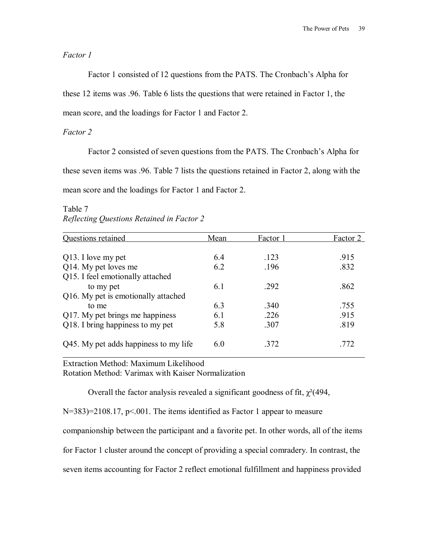*Factor 1*

Factor 1 consisted of 12 questions from the PATS. The Cronbach's Alpha for

these 12 items was .96. Table 6 lists the questions that were retained in Factor 1, the

mean score, and the loadings for Factor 1 and Factor 2.

*Factor 2*

Factor 2 consisted of seven questions from the PATS. The Cronbach's Alpha for

these seven items was .96. Table 7 lists the questions retained in Factor 2, along with the

mean score and the loadings for Factor 1 and Factor 2.

| Questions retained                    | Mean | Factor 1 | Factor 2 |
|---------------------------------------|------|----------|----------|
|                                       |      |          |          |
| Q13. I love my pet                    | 64   | -123     | .915     |
| Q14. My pet loves me                  | 6.2  | .196     | .832     |
| Q15. I feel emotionally attached      |      |          |          |
| to my pet                             | 61   | .292     | .862     |
| Q16. My pet is emotionally attached   |      |          |          |
| to me                                 | 63   | .340     | .755     |
| Q17. My pet brings me happiness       | 6.1  | .226     | .915     |
| Q18. I bring happiness to my pet      | 5.8  | .307     | .819     |
| Q45. My pet adds happiness to my life | 6.0  | .372     | 772      |

Table 7 *Reflecting Questions Retained in Factor 2*

Extraction Method: Maximum Likelihood

Rotation Method: Varimax with Kaiser Normalization

Overall the factor analysis revealed a significant goodness of fit,  $\gamma^2$ (494,

N=383)=2108.17, p<.001. The items identified as Factor 1 appear to measure

companionship between the participant and a favorite pet. In other words, all of the items

for Factor 1 cluster around the concept of providing a special comradery. In contrast, the

seven items accounting for Factor 2 reflect emotional fulfillment and happiness provided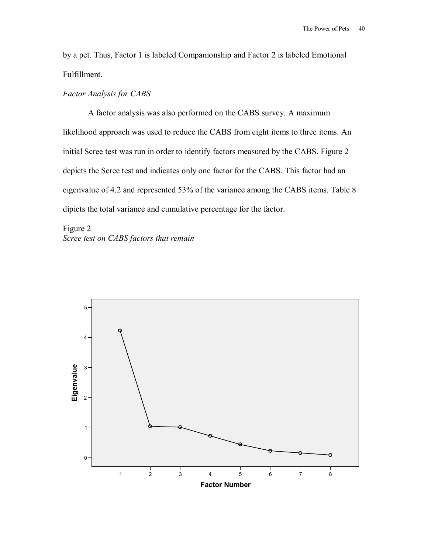by a pet. Thus, Factor 1 is labeled Companionship and Factor 2 is labeled Emotional Fulfillment.

## *Factor Analysis for CABS*

A factor analysis was also performed on the CABS survey. A maximum likelihood approach was used to reduce the CABS from eight items to three items. An initial Scree test was run in order to identify factors measured by the CABS. Figure 2 depicts the Scree test and indicates only one factor for the CABS. This factor had an eigenvalue of 4.2 and represented 53% of the variance among the CABS items. Table 8 dipicts the total variance and cumulative percentage for the factor.

Figure 2 *Scree test on CABS factors that remain* 

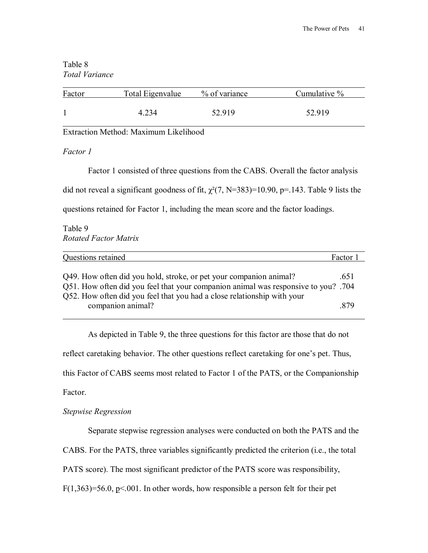## Table 8 *Total Variance*

| Factor | Total Eigenvalue | % of variance | Cumulative % |
|--------|------------------|---------------|--------------|
|        | 4.234            | 52 919        | 52.919       |
|        |                  |               |              |

# *Factor 1*

Factor 1 consisted of three questions from the CABS. Overall the factor analysis

did not reveal a significant goodness of fit,  $\chi^2(7, N=383)=10.90$ , p=.143. Table 9 lists the

questions retained for Factor 1, including the mean score and the factor loadings.

Table 9 *Rotated Factor Matrix* 

| Questions retained                                                                                                                                                                                                                                       | Factor 1     |
|----------------------------------------------------------------------------------------------------------------------------------------------------------------------------------------------------------------------------------------------------------|--------------|
| Q49. How often did you hold, stroke, or pet your companion animal?<br>Q51. How often did you feel that your companion animal was responsive to you? .704<br>Q52. How often did you feel that you had a close relationship with your<br>companion animal? | .651<br>-879 |

 As depicted in Table 9, the three questions for this factor are those that do not reflect caretaking behavior. The other questions reflect caretaking for one's pet. Thus, this Factor of CABS seems most related to Factor 1 of the PATS, or the Companionship Factor.

# *Stepwise Regression*

Separate stepwise regression analyses were conducted on both the PATS and the

CABS. For the PATS, three variables significantly predicted the criterion (i.e., the total

PATS score). The most significant predictor of the PATS score was responsibility,

F(1,363)=56.0,  $p<0.01$ . In other words, how responsible a person felt for their pet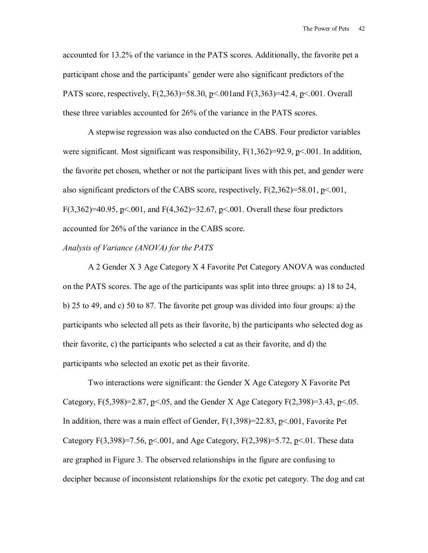accounted for 13.2% of the variance in the PATS scores. Additionally, the favorite pet a participant chose and the participantsí gender were also significant predictors of the PATS score, respectively, F(2,363)=58.30, p<.001and F(3,363)=42.4, p<.001. Overall these three variables accounted for 26% of the variance in the PATS scores.

 A stepwise regression was also conducted on the CABS. Four predictor variables were significant. Most significant was responsibility,  $F(1,362)=92.9$ ,  $p<.001$ . In addition, the favorite pet chosen, whether or not the participant lives with this pet, and gender were also significant predictors of the CABS score, respectively,  $F(2,362)=58.01$ ,  $p<.001$ , F(3,362)=40.95, p<.001, and F(4,362)=32.67, p<.001. Overall these four predictors accounted for 26% of the variance in the CABS score.

#### *Analysis of Variance (ANOVA) for the PATS*

A 2 Gender X 3 Age Category X 4 Favorite Pet Category ANOVA was conducted on the PATS scores. The age of the participants was split into three groups: a) 18 to 24, b) 25 to 49, and c) 50 to 87. The favorite pet group was divided into four groups: a) the participants who selected all pets as their favorite, b) the participants who selected dog as their favorite, c) the participants who selected a cat as their favorite, and d) the participants who selected an exotic pet as their favorite.

Two interactions were significant: the Gender X Age Category X Favorite Pet Category,  $F(5,398)=2.87$ ,  $p<0.05$ , and the Gender X Age Category  $F(2,398)=3.43$ ,  $p<0.05$ . In addition, there was a main effect of Gender, F(1,398)=22.83, p<.001, Favorite Pet Category F(3,398)=7.56, p<.001, and Age Category, F(2,398)=5.72, p<.01. These data are graphed in Figure 3. The observed relationships in the figure are confusing to decipher because of inconsistent relationships for the exotic pet category. The dog and cat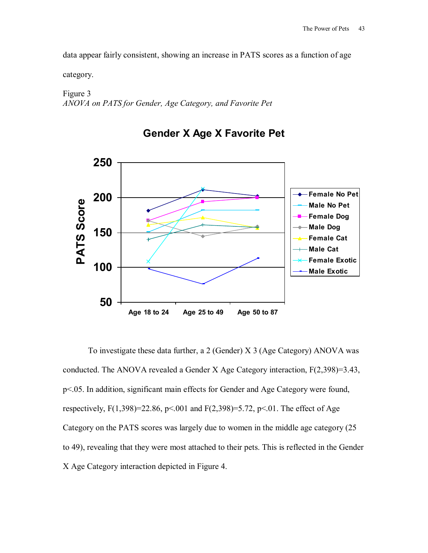data appear fairly consistent, showing an increase in PATS scores as a function of age

category.

Figure 3 *ANOVA on PATS for Gender, Age Category, and Favorite Pet*



**Gender X Age X Favorite Pet**

 To investigate these data further, a 2 (Gender) X 3 (Age Category) ANOVA was conducted. The ANOVA revealed a Gender X Age Category interaction, F(2,398)=3.43, p<.05. In addition, significant main effects for Gender and Age Category were found, respectively,  $F(1,398)=22.86$ ,  $p<0.01$  and  $F(2,398)=5.72$ ,  $p<0.1$ . The effect of Age Category on the PATS scores was largely due to women in the middle age category (25 to 49), revealing that they were most attached to their pets. This is reflected in the Gender X Age Category interaction depicted in Figure 4.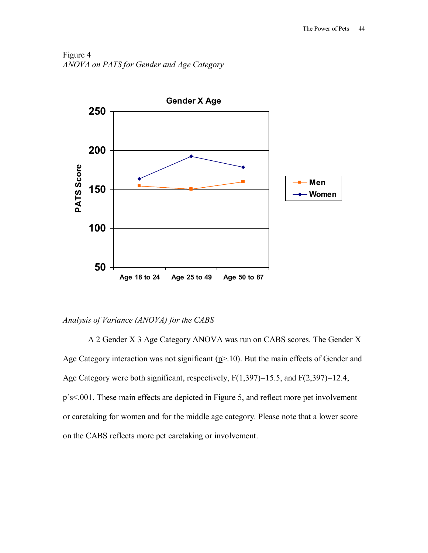Figure 4 *ANOVA on PATS for Gender and Age Category*



## *Analysis of Variance (ANOVA) for the CABS*

A 2 Gender X 3 Age Category ANOVA was run on CABS scores. The Gender X Age Category interaction was not significant  $(p>10)$ . But the main effects of Gender and Age Category were both significant, respectively, F(1,397)=15.5, and F(2,397)=12.4,  $p's$ <.001. These main effects are depicted in Figure 5, and reflect more pet involvement or caretaking for women and for the middle age category. Please note that a lower score on the CABS reflects more pet caretaking or involvement.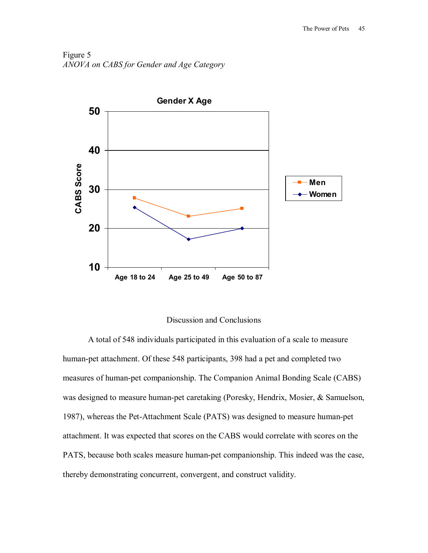Figure 5 *ANOVA on CABS for Gender and Age Category*



### Discussion and Conclusions

 A total of 548 individuals participated in this evaluation of a scale to measure human-pet attachment. Of these 548 participants, 398 had a pet and completed two measures of human-pet companionship. The Companion Animal Bonding Scale (CABS) was designed to measure human-pet caretaking (Poresky, Hendrix, Mosier, & Samuelson, 1987), whereas the Pet-Attachment Scale (PATS) was designed to measure human-pet attachment. It was expected that scores on the CABS would correlate with scores on the PATS, because both scales measure human-pet companionship. This indeed was the case, thereby demonstrating concurrent, convergent, and construct validity.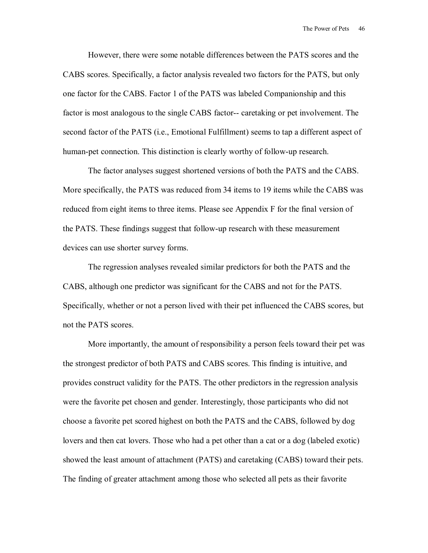However, there were some notable differences between the PATS scores and the CABS scores. Specifically, a factor analysis revealed two factors for the PATS, but only one factor for the CABS. Factor 1 of the PATS was labeled Companionship and this factor is most analogous to the single CABS factor-- caretaking or pet involvement. The second factor of the PATS (i.e., Emotional Fulfillment) seems to tap a different aspect of human-pet connection. This distinction is clearly worthy of follow-up research.

The factor analyses suggest shortened versions of both the PATS and the CABS. More specifically, the PATS was reduced from 34 items to 19 items while the CABS was reduced from eight items to three items. Please see Appendix F for the final version of the PATS. These findings suggest that follow-up research with these measurement devices can use shorter survey forms.

The regression analyses revealed similar predictors for both the PATS and the CABS, although one predictor was significant for the CABS and not for the PATS. Specifically, whether or not a person lived with their pet influenced the CABS scores, but not the PATS scores.

More importantly, the amount of responsibility a person feels toward their pet was the strongest predictor of both PATS and CABS scores. This finding is intuitive, and provides construct validity for the PATS. The other predictors in the regression analysis were the favorite pet chosen and gender. Interestingly, those participants who did not choose a favorite pet scored highest on both the PATS and the CABS, followed by dog lovers and then cat lovers. Those who had a pet other than a cat or a dog (labeled exotic) showed the least amount of attachment (PATS) and caretaking (CABS) toward their pets. The finding of greater attachment among those who selected all pets as their favorite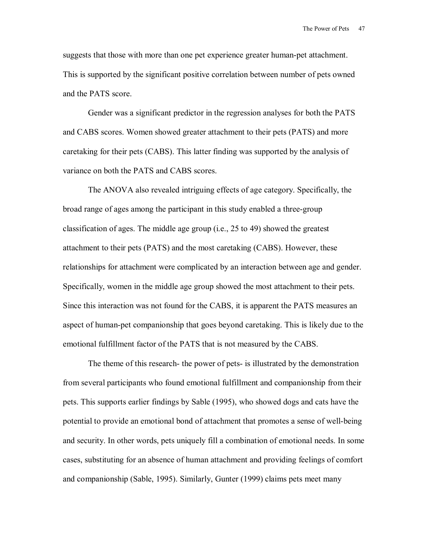suggests that those with more than one pet experience greater human-pet attachment. This is supported by the significant positive correlation between number of pets owned and the PATS score.

Gender was a significant predictor in the regression analyses for both the PATS and CABS scores. Women showed greater attachment to their pets (PATS) and more caretaking for their pets (CABS). This latter finding was supported by the analysis of variance on both the PATS and CABS scores.

The ANOVA also revealed intriguing effects of age category. Specifically, the broad range of ages among the participant in this study enabled a three-group classification of ages. The middle age group (i.e., 25 to 49) showed the greatest attachment to their pets (PATS) and the most caretaking (CABS). However, these relationships for attachment were complicated by an interaction between age and gender. Specifically, women in the middle age group showed the most attachment to their pets. Since this interaction was not found for the CABS, it is apparent the PATS measures an aspect of human-pet companionship that goes beyond caretaking. This is likely due to the emotional fulfillment factor of the PATS that is not measured by the CABS.

The theme of this research- the power of pets- is illustrated by the demonstration from several participants who found emotional fulfillment and companionship from their pets. This supports earlier findings by Sable (1995), who showed dogs and cats have the potential to provide an emotional bond of attachment that promotes a sense of well-being and security. In other words, pets uniquely fill a combination of emotional needs. In some cases, substituting for an absence of human attachment and providing feelings of comfort and companionship (Sable, 1995). Similarly, Gunter (1999) claims pets meet many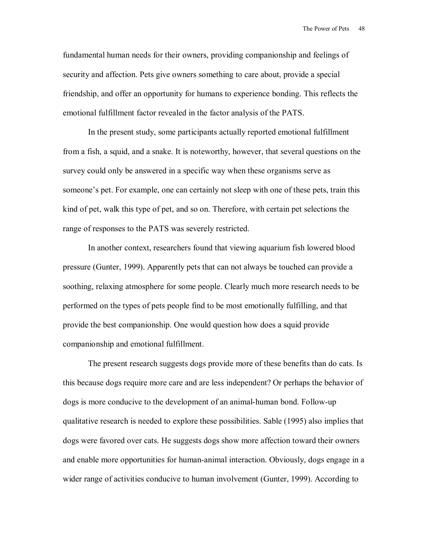fundamental human needs for their owners, providing companionship and feelings of security and affection. Pets give owners something to care about, provide a special friendship, and offer an opportunity for humans to experience bonding. This reflects the emotional fulfillment factor revealed in the factor analysis of the PATS.

In the present study, some participants actually reported emotional fulfillment from a fish, a squid, and a snake. It is noteworthy, however, that several questions on the survey could only be answered in a specific way when these organisms serve as someone's pet. For example, one can certainly not sleep with one of these pets, train this kind of pet, walk this type of pet, and so on. Therefore, with certain pet selections the range of responses to the PATS was severely restricted.

In another context, researchers found that viewing aquarium fish lowered blood pressure (Gunter, 1999). Apparently pets that can not always be touched can provide a soothing, relaxing atmosphere for some people. Clearly much more research needs to be performed on the types of pets people find to be most emotionally fulfilling, and that provide the best companionship. One would question how does a squid provide companionship and emotional fulfillment.

The present research suggests dogs provide more of these benefits than do cats. Is this because dogs require more care and are less independent? Or perhaps the behavior of dogs is more conducive to the development of an animal-human bond. Follow-up qualitative research is needed to explore these possibilities. Sable (1995) also implies that dogs were favored over cats. He suggests dogs show more affection toward their owners and enable more opportunities for human-animal interaction. Obviously, dogs engage in a wider range of activities conducive to human involvement (Gunter, 1999). According to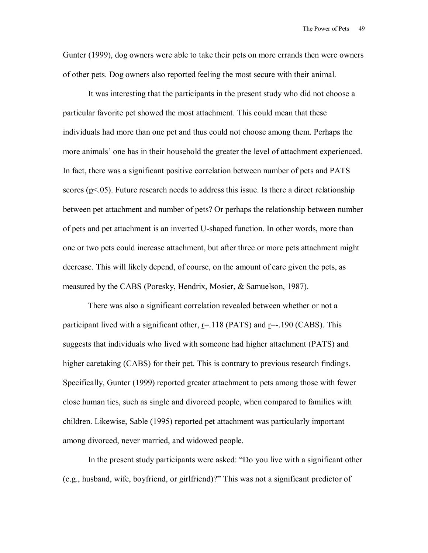Gunter (1999), dog owners were able to take their pets on more errands then were owners of other pets. Dog owners also reported feeling the most secure with their animal.

It was interesting that the participants in the present study who did not choose a particular favorite pet showed the most attachment. This could mean that these individuals had more than one pet and thus could not choose among them. Perhaps the more animals' one has in their household the greater the level of attachment experienced. In fact, there was a significant positive correlation between number of pets and PATS scores ( $p<0.05$ ). Future research needs to address this issue. Is there a direct relationship between pet attachment and number of pets? Or perhaps the relationship between number of pets and pet attachment is an inverted U-shaped function. In other words, more than one or two pets could increase attachment, but after three or more pets attachment might decrease. This will likely depend, of course, on the amount of care given the pets, as measured by the CABS (Poresky, Hendrix, Mosier, & Samuelson, 1987).

There was also a significant correlation revealed between whether or not a participant lived with a significant other,  $r=118$  (PATS) and  $r=-190$  (CABS). This suggests that individuals who lived with someone had higher attachment (PATS) and higher caretaking (CABS) for their pet. This is contrary to previous research findings. Specifically, Gunter (1999) reported greater attachment to pets among those with fewer close human ties, such as single and divorced people, when compared to families with children. Likewise, Sable (1995) reported pet attachment was particularly important among divorced, never married, and widowed people.

In the present study participants were asked: "Do you live with a significant other (e.g., husband, wife, boyfriend, or girlfriend)?î This was not a significant predictor of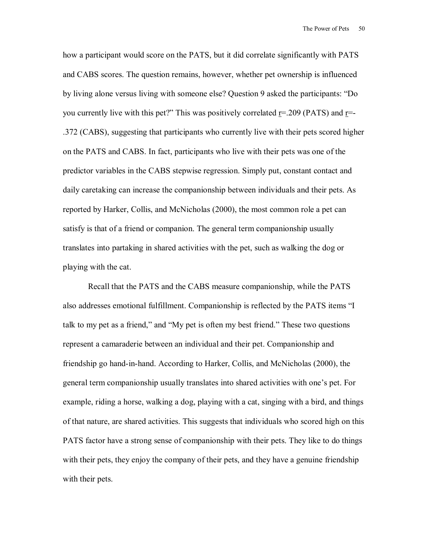how a participant would score on the PATS, but it did correlate significantly with PATS and CABS scores. The question remains, however, whether pet ownership is influenced by living alone versus living with someone else? Question 9 asked the participants: "Do you currently live with this pet?" This was positively correlated  $r = .209$  (PATS) and  $r = -$ .372 (CABS), suggesting that participants who currently live with their pets scored higher on the PATS and CABS. In fact, participants who live with their pets was one of the predictor variables in the CABS stepwise regression. Simply put, constant contact and daily caretaking can increase the companionship between individuals and their pets. As reported by Harker, Collis, and McNicholas (2000), the most common role a pet can satisfy is that of a friend or companion. The general term companionship usually translates into partaking in shared activities with the pet, such as walking the dog or playing with the cat.

Recall that the PATS and the CABS measure companionship, while the PATS also addresses emotional fulfillment. Companionship is reflected by the PATS items <sup>"I</sup> talk to my pet as a friend," and "My pet is often my best friend." These two questions represent a camaraderie between an individual and their pet. Companionship and friendship go hand-in-hand. According to Harker, Collis, and McNicholas (2000), the general term companionship usually translates into shared activities with one's pet. For example, riding a horse, walking a dog, playing with a cat, singing with a bird, and things of that nature, are shared activities. This suggests that individuals who scored high on this PATS factor have a strong sense of companionship with their pets. They like to do things with their pets, they enjoy the company of their pets, and they have a genuine friendship with their pets.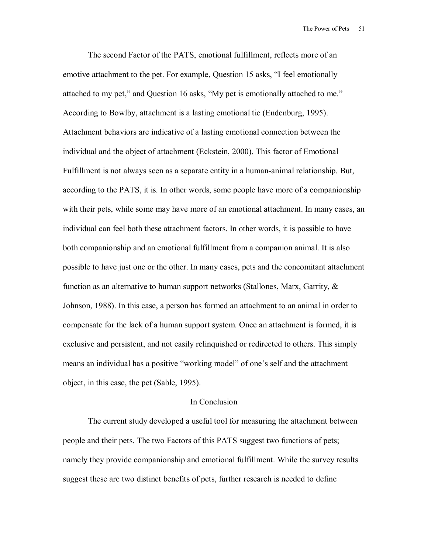The second Factor of the PATS, emotional fulfillment, reflects more of an emotive attachment to the pet. For example, Question 15 asks, "I feel emotionally attached to my pet," and Question 16 asks, "My pet is emotionally attached to me." According to Bowlby, attachment is a lasting emotional tie (Endenburg, 1995). Attachment behaviors are indicative of a lasting emotional connection between the individual and the object of attachment (Eckstein, 2000). This factor of Emotional Fulfillment is not always seen as a separate entity in a human-animal relationship. But, according to the PATS, it is. In other words, some people have more of a companionship with their pets, while some may have more of an emotional attachment. In many cases, an individual can feel both these attachment factors. In other words, it is possible to have both companionship and an emotional fulfillment from a companion animal. It is also possible to have just one or the other. In many cases, pets and the concomitant attachment function as an alternative to human support networks (Stallones, Marx, Garrity, & Johnson, 1988). In this case, a person has formed an attachment to an animal in order to compensate for the lack of a human support system. Once an attachment is formed, it is exclusive and persistent, and not easily relinquished or redirected to others. This simply means an individual has a positive "working model" of one's self and the attachment object, in this case, the pet (Sable, 1995).

#### In Conclusion

The current study developed a useful tool for measuring the attachment between people and their pets. The two Factors of this PATS suggest two functions of pets; namely they provide companionship and emotional fulfillment. While the survey results suggest these are two distinct benefits of pets, further research is needed to define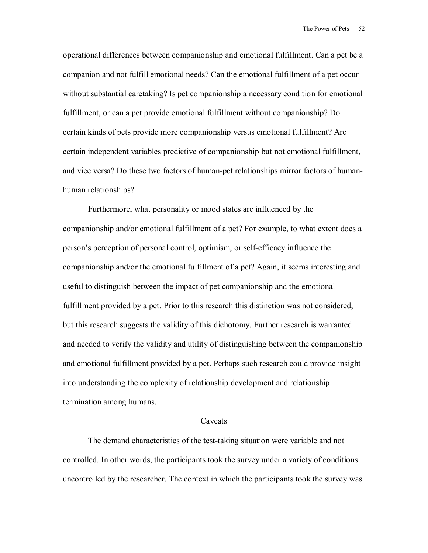operational differences between companionship and emotional fulfillment. Can a pet be a companion and not fulfill emotional needs? Can the emotional fulfillment of a pet occur without substantial caretaking? Is pet companionship a necessary condition for emotional fulfillment, or can a pet provide emotional fulfillment without companionship? Do certain kinds of pets provide more companionship versus emotional fulfillment? Are certain independent variables predictive of companionship but not emotional fulfillment, and vice versa? Do these two factors of human-pet relationships mirror factors of humanhuman relationships?

Furthermore, what personality or mood states are influenced by the companionship and/or emotional fulfillment of a pet? For example, to what extent does a person's perception of personal control, optimism, or self-efficacy influence the companionship and/or the emotional fulfillment of a pet? Again, it seems interesting and useful to distinguish between the impact of pet companionship and the emotional fulfillment provided by a pet. Prior to this research this distinction was not considered, but this research suggests the validity of this dichotomy. Further research is warranted and needed to verify the validity and utility of distinguishing between the companionship and emotional fulfillment provided by a pet. Perhaps such research could provide insight into understanding the complexity of relationship development and relationship termination among humans.

#### Caveats

The demand characteristics of the test-taking situation were variable and not controlled. In other words, the participants took the survey under a variety of conditions uncontrolled by the researcher. The context in which the participants took the survey was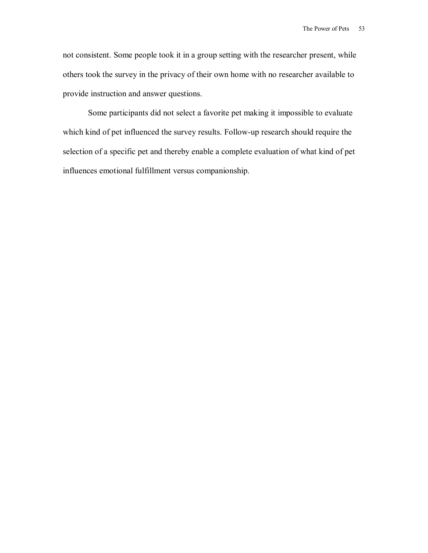not consistent. Some people took it in a group setting with the researcher present, while others took the survey in the privacy of their own home with no researcher available to provide instruction and answer questions.

Some participants did not select a favorite pet making it impossible to evaluate which kind of pet influenced the survey results. Follow-up research should require the selection of a specific pet and thereby enable a complete evaluation of what kind of pet influences emotional fulfillment versus companionship.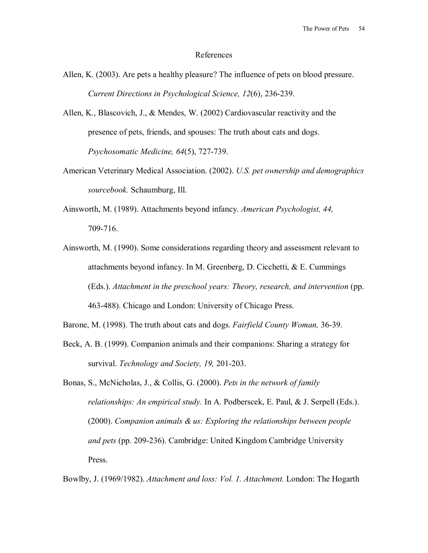#### References

- Allen, K. (2003). Are pets a healthy pleasure? The influence of pets on blood pressure. *Current Directions in Psychological Science, 12*(6), 236-239.
- Allen, K., Blascovich, J., & Mendes, W. (2002) Cardiovascular reactivity and the presence of pets, friends, and spouses: The truth about cats and dogs. *Psychosomatic Medicine, 64*(5), 727-739.
- American Veterinary Medical Association. (2002). *U.S. pet ownership and demographics sourcebook.* Schaumburg, Ill.
- Ainsworth, M. (1989). Attachments beyond infancy. *American Psychologist, 44,*  709-716.
- Ainsworth, M. (1990). Some considerations regarding theory and assessment relevant to attachments beyond infancy. In M. Greenberg, D. Cicchetti, & E. Cummings (Eds.). *Attachment in the preschool years: Theory, research, and intervention* (pp. 463-488). Chicago and London: University of Chicago Press.
- Barone, M. (1998). The truth about cats and dogs*. Fairfield County Woman,* 36-39.
- Beck, A. B. (1999). Companion animals and their companions: Sharing a strategy for survival. *Technology and Society, 19,* 201-203.
- Bonas, S., McNicholas, J., & Collis, G. (2000). *Pets in the network of family relationships: An empirical study.* In A. Podberscek, E. Paul, & J. Serpell (Eds.). (2000). *Companion animals & us: Exploring the relationships between people and pets* (pp. 209-236). Cambridge: United Kingdom Cambridge University Press.

Bowlby, J. (1969/1982). *Attachment and loss: Vol. 1. Attachment.* London: The Hogarth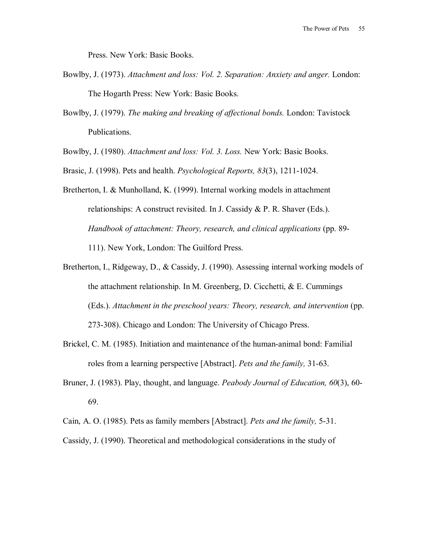Press. New York: Basic Books.

- Bowlby, J. (1973). *Attachment and loss: Vol. 2. Separation: Anxiety and anger.* London: The Hogarth Press: New York: Basic Books.
- Bowlby, J. (1979). *The making and breaking of affectional bonds.* London: Tavistock Publications.

Bowlby, J. (1980). *Attachment and loss: Vol. 3. Loss.* New York: Basic Books.

Brasic, J. (1998). Pets and health. *Psychological Reports, 83*(3), 1211-1024.

Bretherton, I. & Munholland, K. (1999). Internal working models in attachment relationships: A construct revisited. In J. Cassidy  $& P. R. Shaver (Eds.).$ *Handbook of attachment: Theory, research, and clinical applications (pp. 89-*111). New York, London: The Guilford Press.

- Bretherton, I., Ridgeway, D., & Cassidy, J. (1990). Assessing internal working models of the attachment relationship. In M. Greenberg, D. Cicchetti, & E. Cummings (Eds.). *Attachment in the preschool years: Theory, research, and intervention* (pp. 273-308). Chicago and London: The University of Chicago Press.
- Brickel, C. M. (1985). Initiation and maintenance of the human-animal bond: Familial roles from a learning perspective [Abstract]. *Pets and the family,* 31-63.
- Bruner, J. (1983). Play, thought, and language. *Peabody Journal of Education, 60*(3), 60- 69.
- Cain, A. O. (1985). Pets as family members [Abstract]. *Pets and the family,* 5-31.

Cassidy, J. (1990). Theoretical and methodological considerations in the study of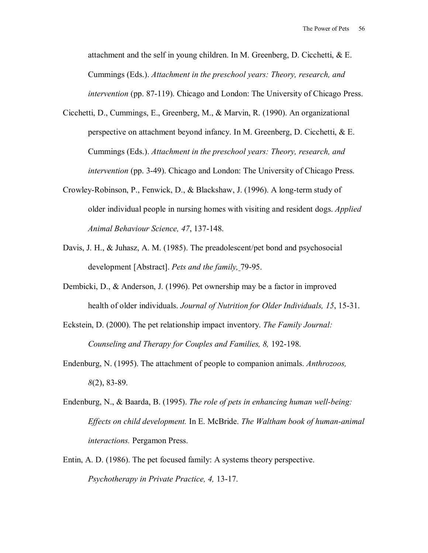attachment and the self in young children. In M. Greenberg, D. Cicchetti, & E. Cummings (Eds.). *Attachment in the preschool years: Theory, research, and intervention* (pp. 87-119). Chicago and London: The University of Chicago Press.

- Cicchetti, D., Cummings, E., Greenberg, M., & Marvin, R. (1990). An organizational perspective on attachment beyond infancy. In M. Greenberg, D. Cicchetti, & E. Cummings (Eds.). *Attachment in the preschool years: Theory, research, and intervention* (pp. 3-49). Chicago and London: The University of Chicago Press.
- Crowley-Robinson, P., Fenwick, D., & Blackshaw, J. (1996). A long-term study of older individual people in nursing homes with visiting and resident dogs. *Applied Animal Behaviour Science, 47*, 137-148.
- Davis, J. H., & Juhasz, A. M. (1985). The preadolescent/pet bond and psychosocial development [Abstract]. *Pets and the family,* 79-95.
- Dembicki, D., & Anderson, J. (1996). Pet ownership may be a factor in improved health of older individuals. *Journal of Nutrition for Older Individuals, 15*, 15-31.
- Eckstein, D. (2000). The pet relationship impact inventory. *The Family Journal: Counseling and Therapy for Couples and Families, 8,* 192-198.
- Endenburg, N. (1995). The attachment of people to companion animals. *Anthrozoos, 8*(2), 83-89.
- Endenburg, N., & Baarda, B. (1995). *The role of pets in enhancing human well-being: Effects on child development.* In E. McBride. *The Waltham book of human-animal interactions.* Pergamon Press.
- Entin, A. D. (1986). The pet focused family: A systems theory perspective. *Psychotherapy in Private Practice, 4,* 13-17.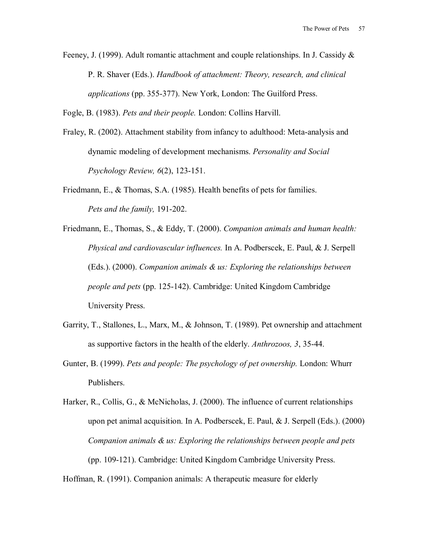Feeney, J. (1999). Adult romantic attachment and couple relationships. In J. Cassidy  $\&$ P. R. Shaver (Eds.). *Handbook of attachment: Theory, research, and clinical applications* (pp. 355-377). New York, London: The Guilford Press.

Fogle, B. (1983). *Pets and their people.* London: Collins Harvill.

- Fraley, R. (2002). Attachment stability from infancy to adulthood: Meta-analysis and dynamic modeling of development mechanisms. *Personality and Social Psychology Review, 6*(2), 123-151.
- Friedmann, E., & Thomas, S.A. (1985). Health benefits of pets for families. *Pets and the family,* 191-202.
- Friedmann, E., Thomas, S., & Eddy, T. (2000). *Companion animals and human health: Physical and cardiovascular influences.* In A. Podberscek, E. Paul, & J. Serpell (Eds.). (2000). *Companion animals & us: Exploring the relationships between people and pets* (pp. 125-142). Cambridge: United Kingdom Cambridge University Press.
- Garrity, T., Stallones, L., Marx, M., & Johnson, T. (1989). Pet ownership and attachment as supportive factors in the health of the elderly. *Anthrozoos, 3*, 35-44.
- Gunter, B. (1999). *Pets and people: The psychology of pet ownership.* London: Whurr Publishers.

Harker, R., Collis, G., & McNicholas, J. (2000). The influence of current relationships upon pet animal acquisition. In A. Podberscek, E. Paul, & J. Serpell (Eds.). (2000) *Companion animals & us: Exploring the relationships between people and pets*  (pp. 109-121). Cambridge: United Kingdom Cambridge University Press.

Hoffman, R. (1991). Companion animals: A therapeutic measure for elderly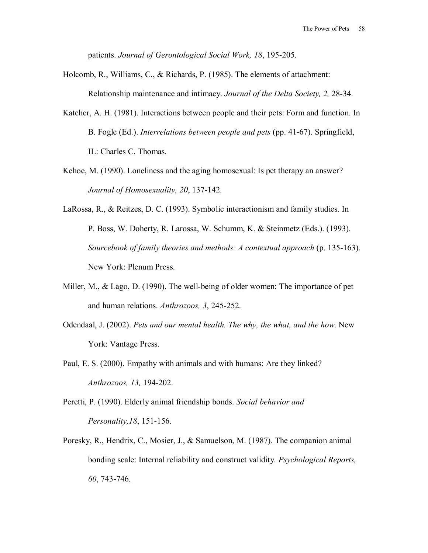patients. *Journal of Gerontological Social Work, 18*, 195-205.

- Holcomb, R., Williams, C., & Richards, P. (1985). The elements of attachment: Relationship maintenance and intimacy. *Journal of the Delta Society, 2,* 28-34.
- Katcher, A. H. (1981). Interactions between people and their pets: Form and function. In B. Fogle (Ed.). *Interrelations between people and pets* (pp. 41-67). Springfield, IL: Charles C. Thomas.
- Kehoe, M. (1990). Loneliness and the aging homosexual: Is pet therapy an answer? *Journal of Homosexuality, 20*, 137-142.
- LaRossa, R., & Reitzes, D. C. (1993). Symbolic interactionism and family studies. In P. Boss, W. Doherty, R. Larossa, W. Schumm, K. & Steinmetz (Eds.). (1993). *Sourcebook of family theories and methods: A contextual approach* (p. 135-163). New York: Plenum Press.
- Miller, M., & Lago, D. (1990). The well-being of older women: The importance of pet and human relations. *Anthrozoos, 3*, 245-252.
- Odendaal, J. (2002). *Pets and our mental health. The why, the what, and the how*. New York: Vantage Press.
- Paul, E. S. (2000). Empathy with animals and with humans: Are they linked? *Anthrozoos, 13,* 194-202.
- Peretti, P. (1990). Elderly animal friendship bonds. *Social behavior and Personality,18*, 151-156.
- Poresky, R., Hendrix, C., Mosier, J., & Samuelson, M. (1987). The companion animal bonding scale: Internal reliability and construct validity*. Psychological Reports, 60*, 743-746.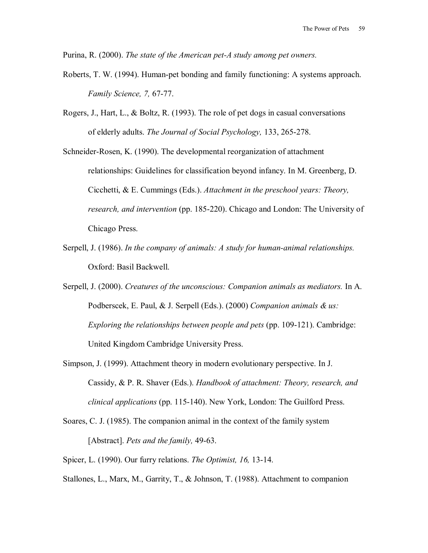Purina, R. (2000). *The state of the American pet-A study among pet owners.* 

- Roberts, T. W. (1994). Human-pet bonding and family functioning: A systems approach. *Family Science, 7,* 67-77.
- Rogers, J., Hart, L., & Boltz, R. (1993). The role of pet dogs in casual conversations of elderly adults. *The Journal of Social Psychology,* 133, 265-278.

Schneider-Rosen, K. (1990). The developmental reorganization of attachment relationships: Guidelines for classification beyond infancy. In M. Greenberg, D. Cicchetti, & E. Cummings (Eds.). *Attachment in the preschool years: Theory, research, and intervention* (pp. 185-220). Chicago and London: The University of Chicago Press.

Serpell, J. (1986). *In the company of animals: A study for human-animal relationships.*  Oxford: Basil Backwell.

Serpell, J. (2000). *Creatures of the unconscious: Companion animals as mediators.* In A. Podberscek, E. Paul, & J. Serpell (Eds.). (2000) *Companion animals & us: Exploring the relationships between people and pets (pp. 109-121). Cambridge:* United Kingdom Cambridge University Press.

- Simpson, J. (1999). Attachment theory in modern evolutionary perspective. In J. Cassidy, & P. R. Shaver (Eds.). *Handbook of attachment: Theory, research, and clinical applications* (pp. 115-140). New York, London: The Guilford Press.
- Soares, C. J. (1985). The companion animal in the context of the family system [Abstract]. *Pets and the family,* 49-63.

Spicer, L. (1990). Our furry relations. *The Optimist, 16,* 13-14.

Stallones, L., Marx, M., Garrity, T., & Johnson, T. (1988). Attachment to companion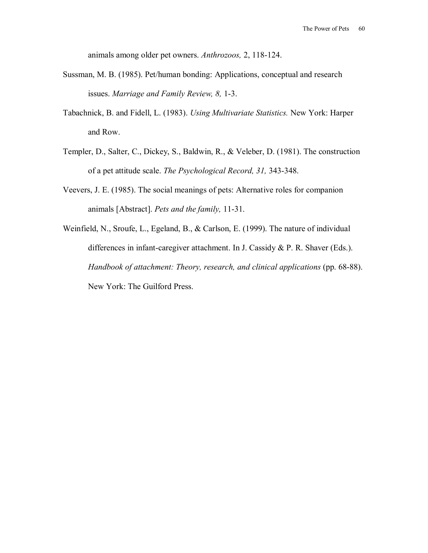animals among older pet owners. *Anthrozoos,* 2, 118-124.

- Sussman, M. B. (1985). Pet/human bonding: Applications, conceptual and research issues. *Marriage and Family Review, 8,* 1-3.
- Tabachnick, B. and Fidell, L. (1983). *Using Multivariate Statistics.* New York: Harper and Row.
- Templer, D., Salter, C., Dickey, S., Baldwin, R., & Veleber, D. (1981). The construction of a pet attitude scale. *The Psychological Record, 31,* 343-348.
- Veevers, J. E. (1985). The social meanings of pets: Alternative roles for companion animals [Abstract]. *Pets and the family,* 11-31.
- Weinfield, N., Sroufe, L., Egeland, B., & Carlson, E. (1999). The nature of individual differences in infant-caregiver attachment. In J. Cassidy & P. R. Shaver (Eds.). *Handbook of attachment: Theory, research, and clinical applications (pp. 68-88).* New York: The Guilford Press.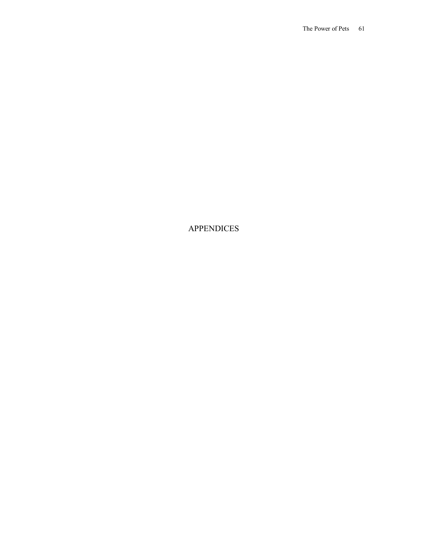APPENDICES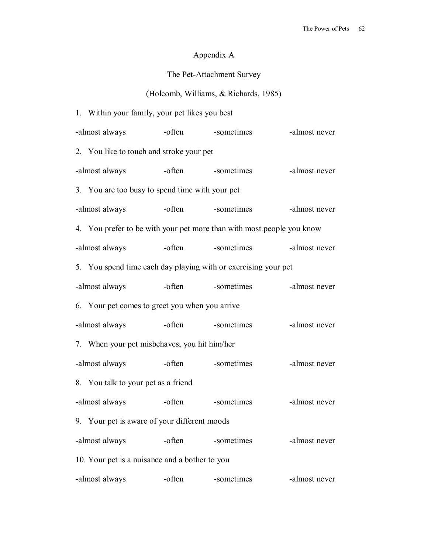# Appendix A

# The Pet-Attachment Survey

# (Holcomb, Williams, & Richards, 1985)

1. Within your family, your pet likes you best

| -almost always                                                        | -often | -sometimes | -almost never |  |  |  |  |  |
|-----------------------------------------------------------------------|--------|------------|---------------|--|--|--|--|--|
| 2. You like to touch and stroke your pet                              |        |            |               |  |  |  |  |  |
| -almost always                                                        | -often | -sometimes | -almost never |  |  |  |  |  |
| 3. You are too busy to spend time with your pet                       |        |            |               |  |  |  |  |  |
| -almost always                                                        | -often | -sometimes | -almost never |  |  |  |  |  |
| 4. You prefer to be with your pet more than with most people you know |        |            |               |  |  |  |  |  |
| -almost always                                                        | -often | -sometimes | -almost never |  |  |  |  |  |
| 5. You spend time each day playing with or exercising your pet        |        |            |               |  |  |  |  |  |
| -almost always                                                        | -often | -sometimes | -almost never |  |  |  |  |  |
| 6. Your pet comes to greet you when you arrive                        |        |            |               |  |  |  |  |  |
| -almost always                                                        | -often | -sometimes | -almost never |  |  |  |  |  |
| 7. When your pet misbehaves, you hit him/her                          |        |            |               |  |  |  |  |  |
| -almost always                                                        | -often | -sometimes | -almost never |  |  |  |  |  |
| 8. You talk to your pet as a friend                                   |        |            |               |  |  |  |  |  |
| -almost always                                                        | -often | -sometimes | -almost never |  |  |  |  |  |
| 9. Your pet is aware of your different moods                          |        |            |               |  |  |  |  |  |
| -almost always                                                        | -often | -sometimes | -almost never |  |  |  |  |  |
| 10. Your pet is a nuisance and a bother to you                        |        |            |               |  |  |  |  |  |
| -almost always                                                        | -often | -sometimes | -almost never |  |  |  |  |  |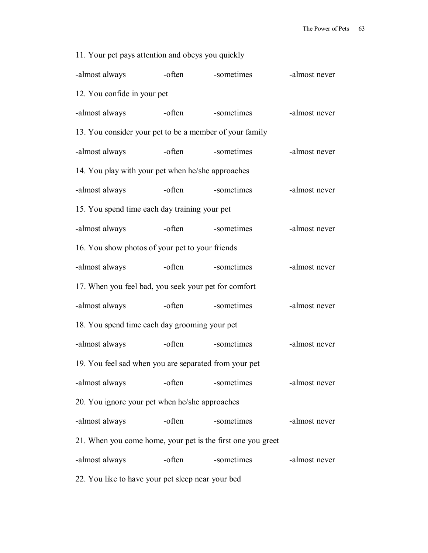| 11. Your pet pays attention and obeys you quickly           |        |            |               |  |  |  |  |  |  |
|-------------------------------------------------------------|--------|------------|---------------|--|--|--|--|--|--|
| -almost always                                              | -often | -sometimes | -almost never |  |  |  |  |  |  |
| 12. You confide in your pet                                 |        |            |               |  |  |  |  |  |  |
| -almost always                                              | -often | -sometimes | -almost never |  |  |  |  |  |  |
| 13. You consider your pet to be a member of your family     |        |            |               |  |  |  |  |  |  |
| -almost always                                              | -often | -sometimes | -almost never |  |  |  |  |  |  |
| 14. You play with your pet when he/she approaches           |        |            |               |  |  |  |  |  |  |
| -almost always                                              | -often | -sometimes | -almost never |  |  |  |  |  |  |
| 15. You spend time each day training your pet               |        |            |               |  |  |  |  |  |  |
| -almost always                                              | -often | -sometimes | -almost never |  |  |  |  |  |  |
| 16. You show photos of your pet to your friends             |        |            |               |  |  |  |  |  |  |
| -almost always                                              | -often | -sometimes | -almost never |  |  |  |  |  |  |
| 17. When you feel bad, you seek your pet for comfort        |        |            |               |  |  |  |  |  |  |
| -almost always                                              | -often | -sometimes | -almost never |  |  |  |  |  |  |
| 18. You spend time each day grooming your pet               |        |            |               |  |  |  |  |  |  |
| -almost always                                              | -often | -sometimes | -almost never |  |  |  |  |  |  |
| 19. You feel sad when you are separated from your pet       |        |            |               |  |  |  |  |  |  |
| -almost always                                              | -often | -sometimes | -almost never |  |  |  |  |  |  |
| 20. You ignore your pet when he/she approaches              |        |            |               |  |  |  |  |  |  |
| -almost always                                              | -often | -sometimes | -almost never |  |  |  |  |  |  |
| 21. When you come home, your pet is the first one you greet |        |            |               |  |  |  |  |  |  |
| -almost always                                              | -often | -sometimes | -almost never |  |  |  |  |  |  |
|                                                             |        |            |               |  |  |  |  |  |  |

22. You like to have your pet sleep near your bed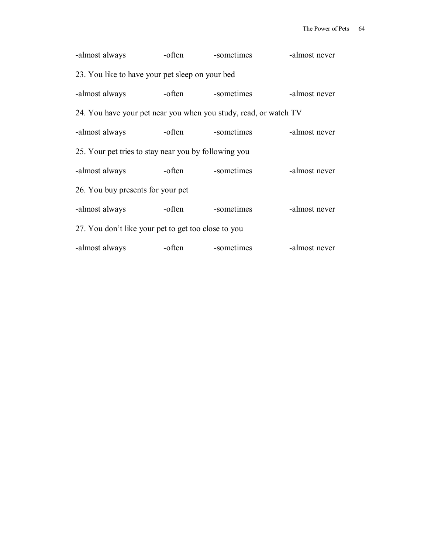| -almost always                                                   | -often | -sometimes | -almost never |  |  |  |  |  |  |
|------------------------------------------------------------------|--------|------------|---------------|--|--|--|--|--|--|
| 23. You like to have your pet sleep on your bed                  |        |            |               |  |  |  |  |  |  |
| -almost always                                                   | -often | -sometimes | -almost never |  |  |  |  |  |  |
| 24. You have your pet near you when you study, read, or watch TV |        |            |               |  |  |  |  |  |  |
| -almost always                                                   | -often | -sometimes | -almost never |  |  |  |  |  |  |
| 25. Your pet tries to stay near you by following you             |        |            |               |  |  |  |  |  |  |
| -almost always                                                   | -often | -sometimes | -almost never |  |  |  |  |  |  |
| 26. You buy presents for your pet                                |        |            |               |  |  |  |  |  |  |
| -almost always                                                   | -often | -sometimes | -almost never |  |  |  |  |  |  |
| 27. You don't like your pet to get too close to you              |        |            |               |  |  |  |  |  |  |
| -almost always                                                   | -often | -sometimes | -almost never |  |  |  |  |  |  |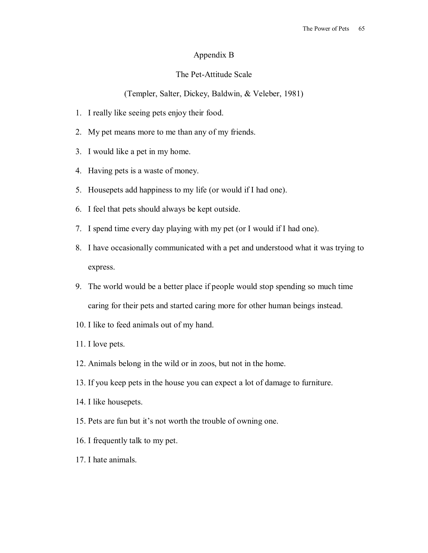### Appendix B

### The Pet-Attitude Scale

(Templer, Salter, Dickey, Baldwin, & Veleber, 1981)

- 1. I really like seeing pets enjoy their food.
- 2. My pet means more to me than any of my friends.
- 3. I would like a pet in my home.
- 4. Having pets is a waste of money.
- 5. Housepets add happiness to my life (or would if I had one).
- 6. I feel that pets should always be kept outside.
- 7. I spend time every day playing with my pet (or I would if I had one).
- 8. I have occasionally communicated with a pet and understood what it was trying to express.
- 9. The world would be a better place if people would stop spending so much time caring for their pets and started caring more for other human beings instead.
- 10. I like to feed animals out of my hand.
- 11. I love pets.
- 12. Animals belong in the wild or in zoos, but not in the home.
- 13. If you keep pets in the house you can expect a lot of damage to furniture.
- 14. I like housepets.
- 15. Pets are fun but it's not worth the trouble of owning one.
- 16. I frequently talk to my pet.
- 17. I hate animals.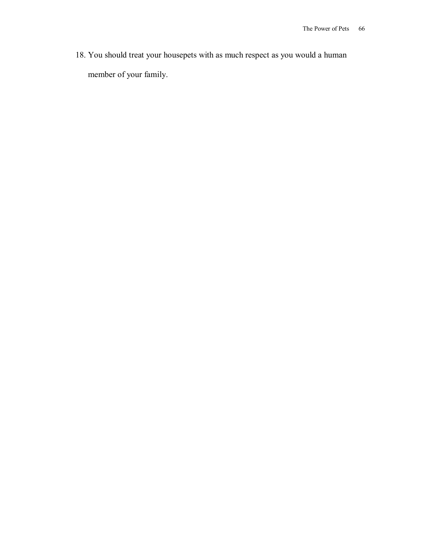18. You should treat your housepets with as much respect as you would a human member of your family.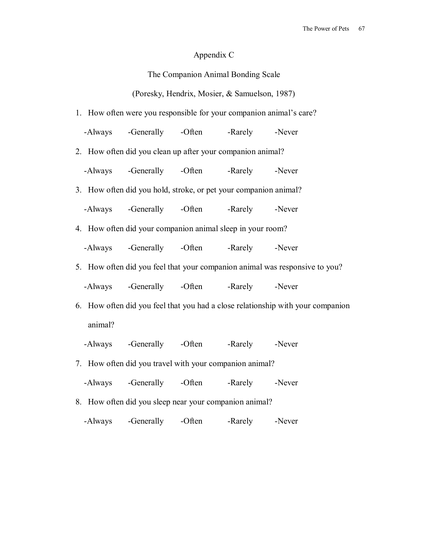# Appendix C

# (Poresky, Hendrix, Mosier, & Samuelson, 1987)

| 1. How often were you responsible for your companion animal's care? |                                                            |  |  |                                                                                 |  |  |  |  |
|---------------------------------------------------------------------|------------------------------------------------------------|--|--|---------------------------------------------------------------------------------|--|--|--|--|
|                                                                     | -Always -Generally -Often -Rarely -Never                   |  |  |                                                                                 |  |  |  |  |
|                                                                     | 2. How often did you clean up after your companion animal? |  |  |                                                                                 |  |  |  |  |
|                                                                     | -Always -Generally -Often -Rarely -Never                   |  |  |                                                                                 |  |  |  |  |
| 3. How often did you hold, stroke, or pet your companion animal?    |                                                            |  |  |                                                                                 |  |  |  |  |
|                                                                     | -Always -Generally -Often -Rarely -Never                   |  |  |                                                                                 |  |  |  |  |
| 4. How often did your companion animal sleep in your room?          |                                                            |  |  |                                                                                 |  |  |  |  |
|                                                                     | -Always -Generally -Often -Rarely -Never                   |  |  |                                                                                 |  |  |  |  |
|                                                                     |                                                            |  |  | 5. How often did you feel that your companion animal was responsive to you?     |  |  |  |  |
|                                                                     | -Always -Generally -Often -Rarely -Never                   |  |  |                                                                                 |  |  |  |  |
|                                                                     |                                                            |  |  | 6. How often did you feel that you had a close relationship with your companion |  |  |  |  |
| animal?                                                             |                                                            |  |  |                                                                                 |  |  |  |  |
|                                                                     | -Always -Generally -Often -Rarely -Never                   |  |  |                                                                                 |  |  |  |  |
|                                                                     | 7. How often did you travel with your companion animal?    |  |  |                                                                                 |  |  |  |  |
|                                                                     | -Always -Generally -Often -Rarely -Never                   |  |  |                                                                                 |  |  |  |  |
|                                                                     | 8. How often did you sleep near your companion animal?     |  |  |                                                                                 |  |  |  |  |

-Always -Generally -Often -Rarely -Never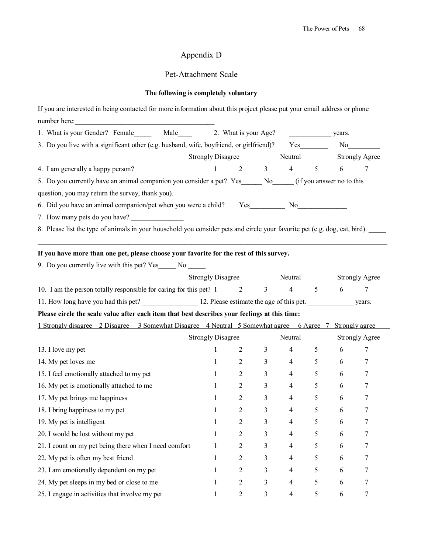# Appendix D

# Pet-Attachment Scale

# **The following is completely voluntary**

| If you are interested in being contacted for more information about this project please put your email address or phone    |                           |                |                |                       |                 |            |                       |
|----------------------------------------------------------------------------------------------------------------------------|---------------------------|----------------|----------------|-----------------------|-----------------|------------|-----------------------|
| number here:                                                                                                               |                           |                |                |                       |                 |            |                       |
| 1. What is your Gender? Female Male 2. What is your Age?                                                                   |                           |                |                |                       | years.          |            |                       |
| 3. Do you live with a significant other (e.g. husband, wife, boyfriend, or girlfriend)?                                    |                           |                |                |                       |                 |            | No                    |
|                                                                                                                            | Strongly Disagree Neutral |                |                |                       |                 |            | <b>Strongly Agree</b> |
| 4. I am generally a happy person?                                                                                          | 1                         |                |                | $2 \qquad 3 \qquad 4$ | $5\overline{)}$ | 6          | 7                     |
| 5. Do you currently have an animal companion you consider a pet? Yes ______ No _____ (if you answer no to this             |                           |                |                |                       |                 |            |                       |
| question, you may return the survey, thank you).                                                                           |                           |                |                |                       |                 |            |                       |
|                                                                                                                            |                           |                |                |                       |                 |            |                       |
| 7. How many pets do you have?                                                                                              |                           |                |                |                       |                 |            |                       |
| 8. Please list the type of animals in your household you consider pets and circle your favorite pet (e.g. dog, cat, bird). |                           |                |                |                       |                 |            |                       |
|                                                                                                                            |                           |                |                |                       |                 |            |                       |
| If you have more than one pet, please choose your favorite for the rest of this survey.                                    |                           |                |                |                       |                 |            |                       |
| 9. Do you currently live with this pet? Yes______ No ______                                                                |                           |                |                |                       |                 |            |                       |
|                                                                                                                            | Strongly Disagree Neutral |                |                |                       |                 |            | <b>Strongly Agree</b> |
| 10. I am the person totally responsible for caring for this pet? 1 2                                                       |                           |                |                | $3 \t 4 \t 5 \t 6$    |                 |            | 7                     |
| 11. How long have you had this pet? 12. Please estimate the age of this pet. vears.                                        |                           |                |                |                       |                 |            |                       |
| Please circle the scale value after each item that best describes your feelings at this time:                              |                           |                |                |                       |                 |            |                       |
| 1 Strongly disagree 2 Disagree 3 Somewhat Disagree 4 Neutral 5 Somewhat agree 6 Agree 7 Strongly agree                     |                           |                |                |                       |                 |            |                       |
|                                                                                                                            | <b>Strongly Disagree</b>  |                |                | Neutral               |                 |            | <b>Strongly Agree</b> |
| 13. I love my pet                                                                                                          | $\mathbf{1}$              | $\overline{2}$ | 3 <sup>7</sup> | $4\degree$            | 5 <sup>1</sup>  | 6          | 7                     |
| 14. My pet loves me                                                                                                        | $\mathbf{1}$              | $\overline{2}$ | 3 <sup>1</sup> | $4\degree$            | 5 <sup>5</sup>  | 6          | 7                     |
| 15. I feel emotionally attached to my pet                                                                                  | $1 \qquad \qquad$         | $\overline{2}$ | 3 <sup>1</sup> | $4\overline{ }$       | 5 <sup>1</sup>  | $6\degree$ | 7                     |
| 16. My pet is emotionally attached to me                                                                                   | $\mathbf{1}$              | $\overline{2}$ | 3 <sup>7</sup> | $4\overline{ }$       | 5 <sup>5</sup>  | 6          | 7                     |
| 17. My pet brings me happiness                                                                                             | $\mathbf{1}$              | $\overline{2}$ | $\mathfrak{Z}$ | $\overline{4}$        | 5 <sup>5</sup>  | 6          | 7                     |
| 18. I bring happiness to my pet                                                                                            | $\mathbf{1}$              | $\overline{2}$ | $\mathfrak{Z}$ | $\overline{4}$        | 5               | 6          | 7                     |
| 19. My pet is intelligent                                                                                                  | 1                         | 2              | 3              | 4                     | 5               | 6          | 7                     |
| 20. I would be lost without my pet                                                                                         | 1                         | $\overline{c}$ | 3              | 4                     | 5               | 6          | 7                     |
| 21. I count on my pet being there when I need comfort                                                                      | -1                        | $\overline{c}$ | 3              | 4                     | 5               | 6          | 7                     |
| 22. My pet is often my best friend                                                                                         | 1                         | 2              | 3              | 4                     | 5               | 6          | 7                     |
| 23. I am emotionally dependent on my pet                                                                                   | 1                         | $\overline{2}$ | 3              | 4                     | 5               | 6          | 7                     |
| 24. My pet sleeps in my bed or close to me                                                                                 | 1                         | $\overline{2}$ | 3              | 4                     | 5               | 6          | 7                     |
| 25. I engage in activities that involve my pet                                                                             | 1                         | $\mathfrak{2}$ | 3              | 4                     | 5               | 6          | 7                     |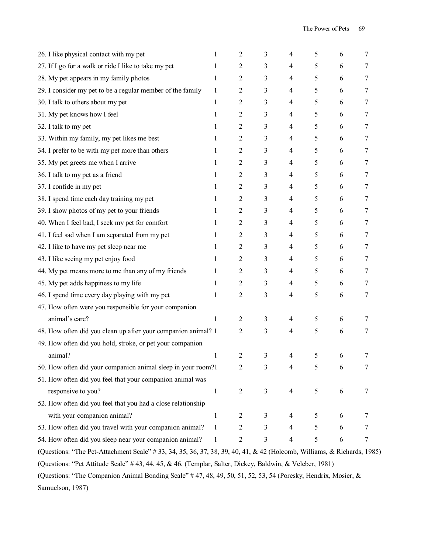| 26. I like physical contact with my pet                                                                                 | 1            | 2              | 3              | 4              | 5 | 6 | 7                |
|-------------------------------------------------------------------------------------------------------------------------|--------------|----------------|----------------|----------------|---|---|------------------|
| 27. If I go for a walk or ride I like to take my pet                                                                    | 1            | 2              | 3              | 4              | 5 | 6 | 7                |
| 28. My pet appears in my family photos                                                                                  | 1            | 2              | 3              | 4              | 5 | 6 | 7                |
| 29. I consider my pet to be a regular member of the family                                                              | 1            | 2              | 3              | 4              | 5 | 6 | 7                |
| 30. I talk to others about my pet                                                                                       | 1            | 2              | 3              | 4              | 5 | 6 | 7                |
| 31. My pet knows how I feel                                                                                             | 1            | 2              | 3              | 4              | 5 | 6 | 7                |
| 32. I talk to my pet                                                                                                    | 1            | 2              | 3              | 4              | 5 | 6 | 7                |
| 33. Within my family, my pet likes me best                                                                              | 1            | 2              | 3              | 4              | 5 | 6 | 7                |
| 34. I prefer to be with my pet more than others                                                                         | 1            | 2              | 3              | 4              | 5 | 6 | 7                |
| 35. My pet greets me when I arrive                                                                                      | 1            | 2              | 3              | 4              | 5 | 6 | 7                |
| 36. I talk to my pet as a friend                                                                                        | 1            | 2              | 3              | 4              | 5 | 6 | 7                |
| 37. I confide in my pet                                                                                                 | 1            | 2              | 3              | 4              | 5 | 6 | 7                |
| 38. I spend time each day training my pet                                                                               | 1            | 2              | 3              | 4              | 5 | 6 | 7                |
| 39. I show photos of my pet to your friends                                                                             | 1            | 2              | 3              | 4              | 5 | 6 | 7                |
| 40. When I feel bad, I seek my pet for comfort                                                                          | 1            | 2              | 3              | 4              | 5 | 6 | 7                |
| 41. I feel sad when I am separated from my pet                                                                          | 1            | 2              | 3              | 4              | 5 | 6 | 7                |
| 42. I like to have my pet sleep near me                                                                                 | 1            | 2              | 3              | 4              | 5 | 6 | 7                |
| 43. I like seeing my pet enjoy food                                                                                     | 1            | 2              | 3              | 4              | 5 | 6 | 7                |
| 44. My pet means more to me than any of my friends                                                                      | 1            | 2              | 3              | 4              | 5 | 6 | 7                |
| 45. My pet adds happiness to my life                                                                                    | 1            | 2              | 3              | 4              | 5 | 6 | 7                |
| 46. I spend time every day playing with my pet                                                                          | 1            | $\overline{2}$ | 3              | 4              | 5 | 6 | 7                |
| 47. How often were you responsible for your companion                                                                   |              |                |                |                |   |   |                  |
| animal's care?                                                                                                          | 1            | $\overline{2}$ | 3              | 4              | 5 | 6 | 7                |
| 48. How often did you clean up after your companion animal? 1                                                           |              | 2              | 3              | 4              | 5 | 6 | 7                |
| 49. How often did you hold, stroke, or pet your companion                                                               |              |                |                |                |   |   |                  |
| animal?                                                                                                                 | $\mathbf{1}$ | 2              | 3              | 4              | 5 | 6 | 7                |
| 50. How often did your companion animal sleep in your room?1                                                            |              | 2              | 3              | 4              | 5 | 6 | 7                |
| 51. How often did you feel that your companion animal was                                                               |              |                |                |                |   |   |                  |
| responsive to you?                                                                                                      | $\mathbf{1}$ | $\overline{2}$ | $\mathfrak{Z}$ | 4              | 5 | 6 | 7                |
| 52. How often did you feel that you had a close relationship                                                            |              |                |                |                |   |   |                  |
| with your companion animal?                                                                                             | $\mathbf{1}$ | $\overline{2}$ | $\mathfrak{Z}$ | $\overline{4}$ | 5 | 6 | 7                |
| 53. How often did you travel with your companion animal?                                                                | $\mathbf{1}$ | $\overline{c}$ | $\mathfrak{Z}$ | 4              | 5 | 6 | 7                |
| 54. How often did you sleep near your companion animal?                                                                 | 1            | $\overline{c}$ | 3              | $\overline{4}$ | 5 | 6 | $\boldsymbol{7}$ |
| (Questions: "The Pet-Attachment Scale" # 33, 34, 35, 36, 37, 38, 39, 40, 41, & 42 (Holcomb, Williams, & Richards, 1985) |              |                |                |                |   |   |                  |

(Questions: "Pet Attitude Scale" # 43, 44, 45, & 46, (Templar, Salter, Dickey, Baldwin, & Veleber, 1981)

(Questions: "The Companion Animal Bonding Scale" # 47, 48, 49, 50, 51, 52, 53, 54 (Poresky, Hendrix, Mosier, & Samuelson, 1987)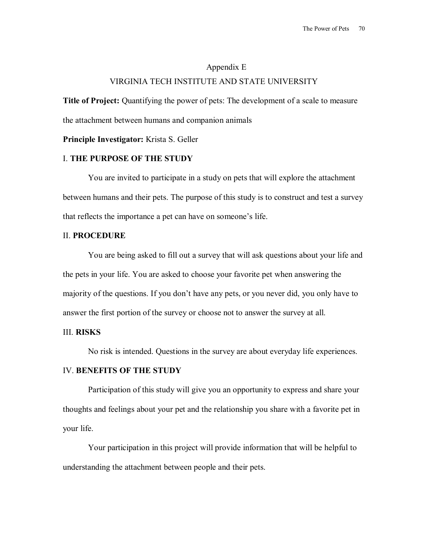# Appendix E VIRGINIA TECH INSTITUTE AND STATE UNIVERSITY

**Title of Project:** Quantifying the power of pets: The development of a scale to measure the attachment between humans and companion animals

**Principle Investigator:** Krista S. Geller

## I. **THE PURPOSE OF THE STUDY**

You are invited to participate in a study on pets that will explore the attachment between humans and their pets. The purpose of this study is to construct and test a survey that reflects the importance a pet can have on someone's life.

#### II. **PROCEDURE**

 You are being asked to fill out a survey that will ask questions about your life and the pets in your life. You are asked to choose your favorite pet when answering the majority of the questions. If you don't have any pets, or you never did, you only have to answer the first portion of the survey or choose not to answer the survey at all.

#### III. **RISKS**

No risk is intended. Questions in the survey are about everyday life experiences.

### IV. **BENEFITS OF THE STUDY**

Participation of this study will give you an opportunity to express and share your thoughts and feelings about your pet and the relationship you share with a favorite pet in your life.

Your participation in this project will provide information that will be helpful to understanding the attachment between people and their pets.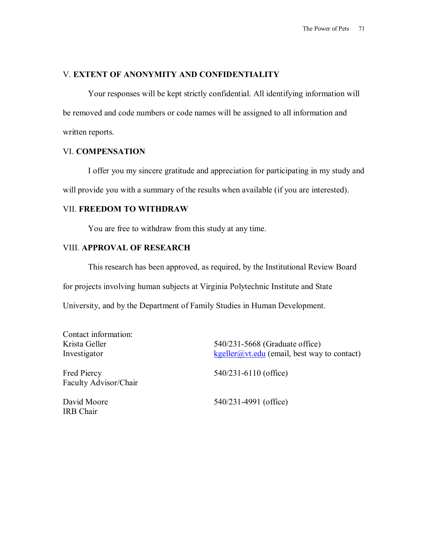### V. **EXTENT OF ANONYMITY AND CONFIDENTIALITY**

Your responses will be kept strictly confidential. All identifying information will be removed and code numbers or code names will be assigned to all information and written reports.

## VI. **COMPENSATION**

I offer you my sincere gratitude and appreciation for participating in my study and will provide you with a summary of the results when available (if you are interested).

## VII. **FREEDOM TO WITHDRAW**

You are free to withdraw from this study at any time.

## VIII. **APPROVAL OF RESEARCH**

This research has been approved, as required, by the Institutional Review Board

for projects involving human subjects at Virginia Polytechnic Institute and State

University, and by the Department of Family Studies in Human Development.

| Contact information:                        |                                                                                      |
|---------------------------------------------|--------------------------------------------------------------------------------------|
| Krista Geller                               | 540/231-5668 (Graduate office)                                                       |
| Investigator                                | $\frac{\text{kgeller}(a)v_t. \text{edu}}{\text{cmail}}$ (email, best way to contact) |
| <b>Fred Piercy</b><br>Faculty Advisor/Chair | 540/231-6110 (office)                                                                |
| David Moore<br><b>IRB</b> Chair             | 540/231-4991 (office)                                                                |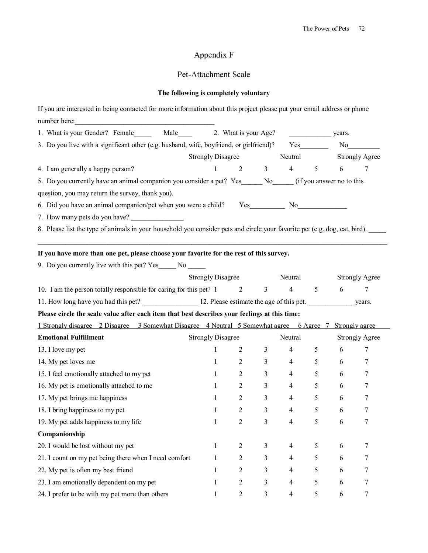# Appendix F

# Pet-Attachment Scale

# **The following is completely voluntary**

| If you are interested in being contacted for more information about this project please put your email address or phone    |                           |                           |                |                       |                       |                       |                       |  |
|----------------------------------------------------------------------------------------------------------------------------|---------------------------|---------------------------|----------------|-----------------------|-----------------------|-----------------------|-----------------------|--|
|                                                                                                                            |                           |                           |                |                       |                       |                       |                       |  |
| 1. What is your Gender? Female Male 2. What is your Age?                                                                   |                           |                           |                | years.                |                       |                       |                       |  |
| 3. Do you live with a significant other (e.g. husband, wife, boyfriend, or girlfriend)? Yes                                |                           |                           |                |                       |                       | No                    |                       |  |
|                                                                                                                            |                           | Strongly Disagree Neutral |                |                       | <b>Strongly Agree</b> |                       |                       |  |
| 4. I am generally a happy person?                                                                                          | $\mathbf{1}$              |                           |                | $2 \qquad 3 \qquad 4$ | $\overline{5}$        | 6                     | 7                     |  |
| 5. Do you currently have an animal companion you consider a pet? Yes ______ No _____ (if you answer no to this             |                           |                           |                |                       |                       |                       |                       |  |
| question, you may return the survey, thank you).                                                                           |                           |                           |                |                       |                       |                       |                       |  |
|                                                                                                                            |                           |                           |                |                       |                       |                       |                       |  |
| 7. How many pets do you have?                                                                                              |                           |                           |                |                       |                       |                       |                       |  |
| 8. Please list the type of animals in your household you consider pets and circle your favorite pet (e.g. dog, cat, bird). |                           |                           |                |                       |                       |                       |                       |  |
|                                                                                                                            |                           |                           |                |                       |                       |                       |                       |  |
| If you have more than one pet, please choose your favorite for the rest of this survey.                                    |                           |                           |                |                       |                       |                       |                       |  |
| 9. Do you currently live with this pet? Yes ______ No ______                                                               |                           |                           |                |                       |                       |                       |                       |  |
|                                                                                                                            | Strongly Disagree Neutral |                           |                |                       |                       | <b>Strongly Agree</b> |                       |  |
| 10. I am the person totally responsible for caring for this pet? 1 2                                                       |                           |                           |                | $3 \t 4 \t 5 \t 6$    |                       |                       | 7                     |  |
| 11. How long have you had this pet? 12. Please estimate the age of this pet. years.                                        |                           |                           |                |                       |                       |                       |                       |  |
| Please circle the scale value after each item that best describes your feelings at this time:                              |                           |                           |                |                       |                       |                       |                       |  |
| 1 Strongly disagree 2 Disagree 3 Somewhat Disagree 4 Neutral 5 Somewhat agree 6 Agree 7 Strongly agree                     |                           |                           |                |                       |                       |                       |                       |  |
| <b>Emotional Fulfillment</b>                                                                                               | <b>Strongly Disagree</b>  |                           |                | Neutral               |                       |                       | <b>Strongly Agree</b> |  |
| 13. I love my pet                                                                                                          | $\mathbf{1}$              | 2                         | $\overline{3}$ | $4\overline{ }$       | 5 <sup>5</sup>        | 6                     | 7                     |  |
| 14. My pet loves me                                                                                                        | $\mathbf{1}$              | $\overline{2}$            | 3 <sup>7</sup> | $4\overline{ }$       | $\mathfrak{S}$        | 6                     | 7                     |  |
| 15. I feel emotionally attached to my pet                                                                                  | $1 \qquad \qquad$         | $\overline{2}$            | 3 <sup>7</sup> | $\overline{4}$        | 5 <sup>5</sup>        | $6\degree$            | 7                     |  |
| 16. My pet is emotionally attached to me                                                                                   | 1                         | $\overline{2}$            | 3 <sup>7</sup> | $4\degree$            | $\overline{5}$        | 6                     | 7                     |  |
| 17. My pet brings me happiness                                                                                             | $\mathbf{1}$              | $\overline{2}$            | $\mathfrak{Z}$ | $\overline{4}$        | 5                     | 6                     | 7                     |  |
| 18. I bring happiness to my pet                                                                                            | $\mathbf{1}$              | 2                         | 3              | $\overline{4}$        | 5                     | 6                     | 7                     |  |
| 19. My pet adds happiness to my life                                                                                       | 1                         | 2                         | 3              | 4                     | 5                     | 6                     | 7                     |  |
| Companionship                                                                                                              |                           |                           |                |                       |                       |                       |                       |  |
| 20. I would be lost without my pet                                                                                         | 1                         | $\overline{2}$            | 3              | 4                     | 5                     | 6                     | 7                     |  |
| 21. I count on my pet being there when I need comfort                                                                      | 1                         | $\overline{c}$            | 3              | 4                     | 5                     | 6                     | 7                     |  |
| 22. My pet is often my best friend                                                                                         | 1                         | $\overline{2}$            | 3              | $\overline{4}$        | 5                     | 6                     | 7                     |  |
| 23. I am emotionally dependent on my pet                                                                                   | 1                         | $\overline{2}$            | 3              | 4                     | 5                     | 6                     | 7                     |  |
| 24. I prefer to be with my pet more than others                                                                            | 1                         | $\overline{c}$            | 3              | $\overline{4}$        | 5                     | 6                     | 7                     |  |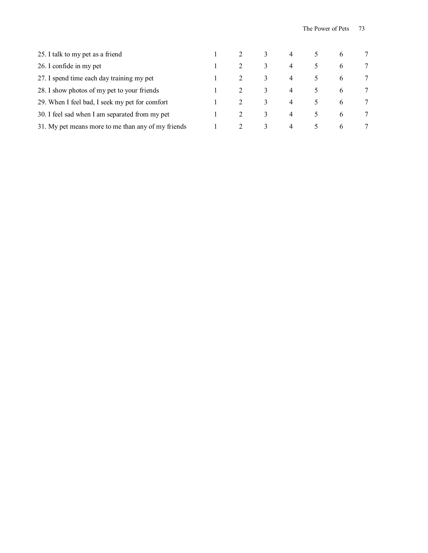| 25. I talk to my pet as a friend                   |  |               | 4              |               | $\mathbf{6}$ |   |
|----------------------------------------------------|--|---------------|----------------|---------------|--------------|---|
| 26. I confide in my pet                            |  | 3             | $\overline{4}$ | 5.            | 6            |   |
| 27. I spend time each day training my pet          |  | 3             | 4              |               | 6            | 7 |
| 28. I show photos of my pet to your friends        |  | 3             | 4              | $\mathcal{L}$ | 6            |   |
| 29. When I feel bad, I seek my pet for comfort     |  | 3             | 4              |               | 6            | 7 |
| 30. I feel sad when I am separated from my pet     |  | 3             | 4              |               | 6            | 7 |
| 31. My pet means more to me than any of my friends |  | $\mathcal{Z}$ | $\overline{4}$ | $\mathcal{L}$ | 6            | 7 |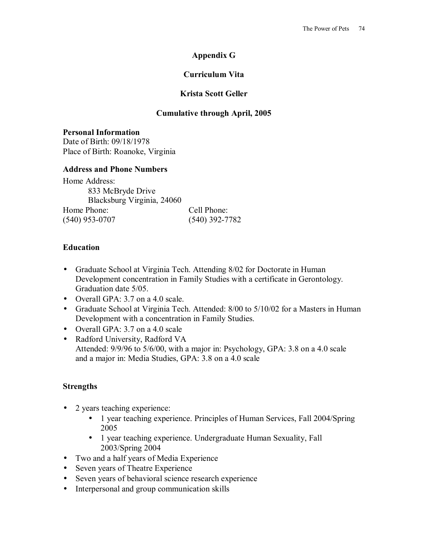# **Appendix G**

# **Curriculum Vita**

## **Krista Scott Geller**

### **Cumulative through April, 2005**

**Personal Information**  Date of Birth: 09/18/1978 Place of Birth: Roanoke, Virginia

#### **Address and Phone Numbers**

Home Address: 833 McBryde Drive Blacksburg Virginia, 24060 Home Phone: Cell Phone: (540) 953-0707 (540) 392-7782

### **Education**

- Graduate School at Virginia Tech. Attending 8/02 for Doctorate in Human Development concentration in Family Studies with a certificate in Gerontology. Graduation date 5/05.
- Overall GPA: 3.7 on a 4.0 scale.
- Graduate School at Virginia Tech. Attended: 8/00 to 5/10/02 for a Masters in Human Development with a concentration in Family Studies.
- Overall GPA: 3.7 on a 4.0 scale
- Radford University, Radford VA Attended: 9/9/96 to 5/6/00, with a major in: Psychology, GPA: 3.8 on a 4.0 scale and a major in: Media Studies, GPA: 3.8 on a 4.0 scale

### **Strengths**

- 2 years teaching experience:
	- 1 year teaching experience. Principles of Human Services, Fall 2004/Spring 2005
	- 1 year teaching experience. Undergraduate Human Sexuality, Fall 2003/Spring 2004
- Two and a half years of Media Experience
- Seven years of Theatre Experience
- Seven years of behavioral science research experience
- Interpersonal and group communication skills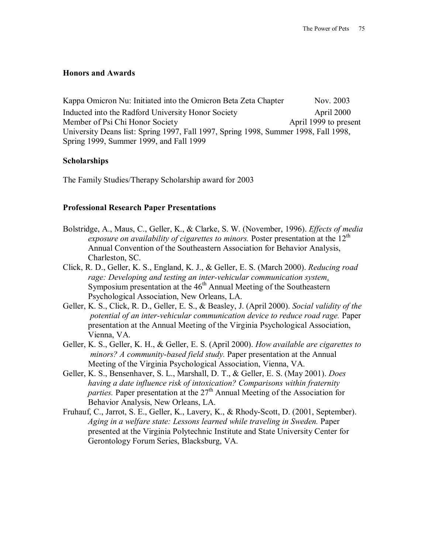#### **Honors and Awards**

Kappa Omicron Nu: Initiated into the Omicron Beta Zeta Chapter Nov. 2003 Inducted into the Radford University Honor Society April 2000 Member of Psi Chi Honor Society **April 1999** to present University Deans list: Spring 1997, Fall 1997, Spring 1998, Summer 1998, Fall 1998, Spring 1999, Summer 1999, and Fall 1999

#### **Scholarships**

The Family Studies/Therapy Scholarship award for 2003

#### **Professional Research Paper Presentations**

- Bolstridge, A., Maus, C., Geller, K., & Clarke, S. W. (November, 1996). *Effects of media exposure on availability of cigarettes to minors.* Poster presentation at the 12<sup>th</sup> Annual Convention of the Southeastern Association for Behavior Analysis, Charleston, SC.
- Click, R. D., Geller, K. S., England, K. J., & Geller, E. S. (March 2000). *Reducing road rage: Developing and testing an inter-vehicular communication system*. Symposium presentation at the  $46<sup>th</sup>$  Annual Meeting of the Southeastern Psychological Association, New Orleans, LA.
- Geller, K. S., Click, R. D., Geller, E. S., & Beasley, J. (April 2000). *Social validity of the potential of an inter-vehicular communication device to reduce road rage.* Paper presentation at the Annual Meeting of the Virginia Psychological Association, Vienna, VA.
- Geller, K. S., Geller, K. H., & Geller, E. S. (April 2000). *How available are cigarettes to minors? A community-based field study.* Paper presentation at the Annual Meeting of the Virginia Psychological Association, Vienna, VA.
- Geller, K. S., Bensenhaver, S. L., Marshall, D. T., & Geller, E. S. (May 2001). *Does having a date influence risk of intoxication? Comparisons within fraternity parties.* Paper presentation at the 27<sup>th</sup> Annual Meeting of the Association for Behavior Analysis, New Orleans, LA.
- Fruhauf, C., Jarrot, S. E., Geller, K., Lavery, K., & Rhody-Scott, D. (2001, September). *Aging in a welfare state: Lessons learned while traveling in Sweden.* Paper presented at the Virginia Polytechnic Institute and State University Center for Gerontology Forum Series, Blacksburg, VA.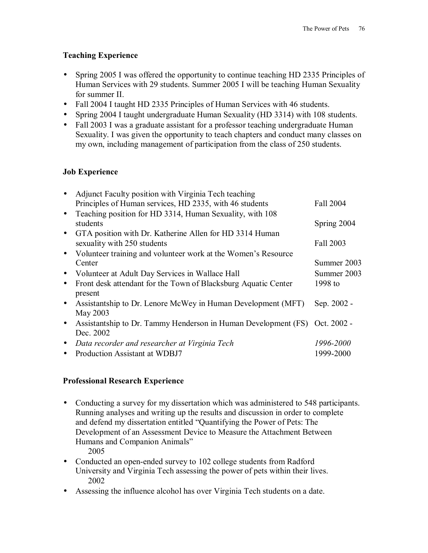# **Teaching Experience**

- Spring 2005 I was offered the opportunity to continue teaching HD 2335 Principles of Human Services with 29 students. Summer 2005 I will be teaching Human Sexuality for summer II.
- Fall 2004 I taught HD 2335 Principles of Human Services with 46 students.
- Spring 2004 I taught undergraduate Human Sexuality (HD 3314) with 108 students.
- Fall 2003 I was a graduate assistant for a professor teaching undergraduate Human Sexuality. I was given the opportunity to teach chapters and conduct many classes on my own, including management of participation from the class of 250 students.

# **Job Experience**

| $\bullet$ | Adjunct Faculty position with Virginia Tech teaching<br>Principles of Human services, HD 2335, with 46 students | Fall 2004   |
|-----------|-----------------------------------------------------------------------------------------------------------------|-------------|
| $\bullet$ | Teaching position for HD 3314, Human Sexuality, with 108<br>students                                            | Spring 2004 |
| $\bullet$ | GTA position with Dr. Katherine Allen for HD 3314 Human<br>sexuality with 250 students                          | Fall 2003   |
| $\bullet$ | Volunteer training and volunteer work at the Women's Resource<br>Center                                         | Summer 2003 |
| $\bullet$ | Volunteer at Adult Day Services in Wallace Hall                                                                 | Summer 2003 |
| $\bullet$ | Front desk attendant for the Town of Blacksburg Aquatic Center<br>present                                       | 1998 to     |
| $\bullet$ | Assistantship to Dr. Lenore McWey in Human Development (MFT)<br>May 2003                                        | Sep. 2002 - |
| $\bullet$ | Assistantship to Dr. Tammy Henderson in Human Development (FS) Oct. 2002 -<br>Dec. 2002                         |             |
| $\bullet$ | Data recorder and researcher at Virginia Tech                                                                   | 1996-2000   |
| $\bullet$ | Production Assistant at WDBJ7                                                                                   | 1999-2000   |

### **Professional Research Experience**

• Conducting a survey for my dissertation which was administered to 548 participants. Running analyses and writing up the results and discussion in order to complete and defend my dissertation entitled "Quantifying the Power of Pets: The Development of an Assessment Device to Measure the Attachment Between Humans and Companion Animals"

2005

- Conducted an open-ended survey to 102 college students from Radford University and Virginia Tech assessing the power of pets within their lives. 2002
- Assessing the influence alcohol has over Virginia Tech students on a date.